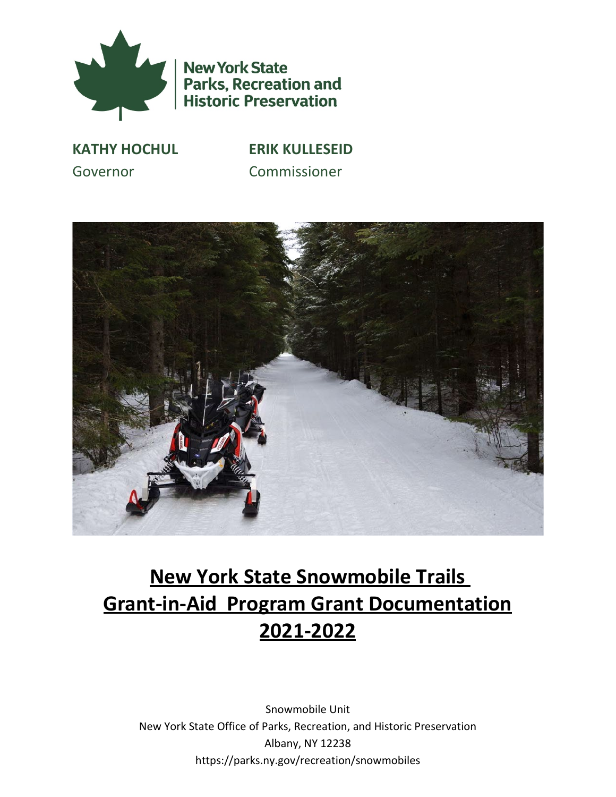

**New York State** Parks, Recreation and<br>Historic Preservation

**KATHY HOCHUL ERIK KULLESEID** Governor Commissioner



# <span id="page-0-2"></span><span id="page-0-1"></span><span id="page-0-0"></span>**New York State Snowmobile Trails Grant‐in‐Aid Program Grant Documentation 2021-2022**

Snowmobile Unit New York State Office of Parks, Recreation, and Historic Preservation Albany, NY 12238 https://parks.ny.gov/recreation/snowmobiles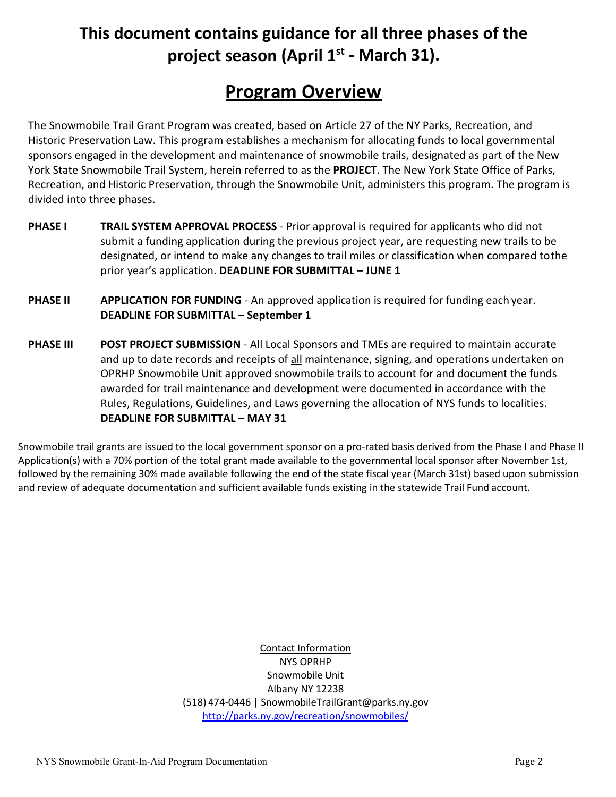# **This document contains guidance for all three phases of the project season (April 1st - March 31).**

# **Program Overview**

<span id="page-1-0"></span>The Snowmobile Trail Grant Program was created, based on Article 27 of the NY Parks, Recreation, and Historic Preservation Law. This program establishes a mechanism for allocating funds to local governmental sponsors engaged in the development and maintenance of snowmobile trails, designated as part of the New York State Snowmobile Trail System, herein referred to as the **PROJECT**. The New York State Office of Parks, Recreation, and Historic Preservation, through the Snowmobile Unit, administers this program. The program is divided into three phases.

- **PHASE I TRAIL SYSTEM APPROVAL PROCESS** ‐ Prior approval is required for applicants who did not submit a funding application during the previous project year, are requesting new trails to be designated, or intend to make any changes to trail miles or classification when compared tothe prior year's application. **DEADLINE FOR SUBMITTAL – JUNE 1**
- **PHASE II APPLICATION FOR FUNDING** An approved application is required for funding each year. **DEADLINE FOR SUBMITTAL – September 1**
- **PHASE III POST PROJECT SUBMISSION** ‐ All Local Sponsors and TMEs are required to maintain accurate and up to date records and receipts of all maintenance, signing, and operations undertaken on OPRHP Snowmobile Unit approved snowmobile trails to account for and document the funds awarded for trail maintenance and development were documented in accordance with the Rules, Regulations, Guidelines, and Laws governing the allocation of NYS funds to localities. **DEADLINE FOR SUBMITTAL – MAY 31**

Snowmobile trail grants are issued to the local government sponsor on a pro-rated basis derived from the Phase I and Phase II Application(s) with a 70% portion of the total grant made available to the governmental local sponsor after November 1st, followed by the remaining 30% made available following the end of the state fiscal year (March 31st) based upon submission and review of adequate documentation and sufficient available funds existing in the statewide Trail Fund account.

> Contact Information NYS OPRHP Snowmobile Unit Albany NY 12238 (518) 474‐0446 | SnowmobileTrailGrant@parks.ny.gov <http://parks.ny.gov/recreation/snowmobiles/>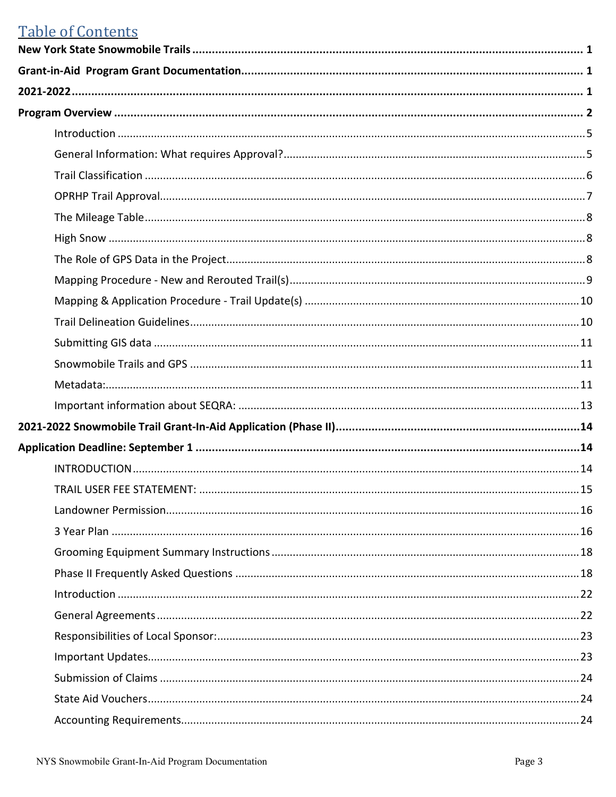# **Table of Contents**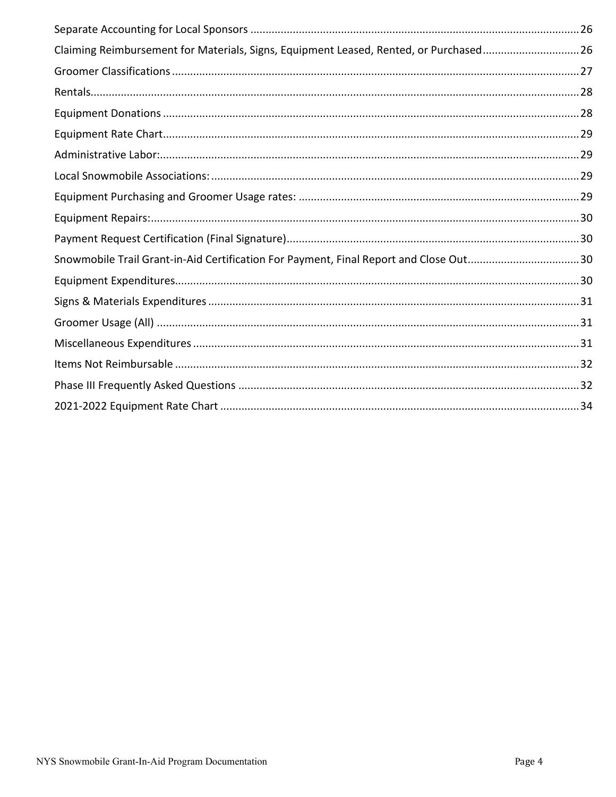| Claiming Reimbursement for Materials, Signs, Equipment Leased, Rented, or Purchased26 |  |
|---------------------------------------------------------------------------------------|--|
|                                                                                       |  |
|                                                                                       |  |
|                                                                                       |  |
|                                                                                       |  |
|                                                                                       |  |
|                                                                                       |  |
|                                                                                       |  |
|                                                                                       |  |
|                                                                                       |  |
| Snowmobile Trail Grant-in-Aid Certification For Payment, Final Report and Close Out30 |  |
|                                                                                       |  |
|                                                                                       |  |
|                                                                                       |  |
|                                                                                       |  |
|                                                                                       |  |
|                                                                                       |  |
|                                                                                       |  |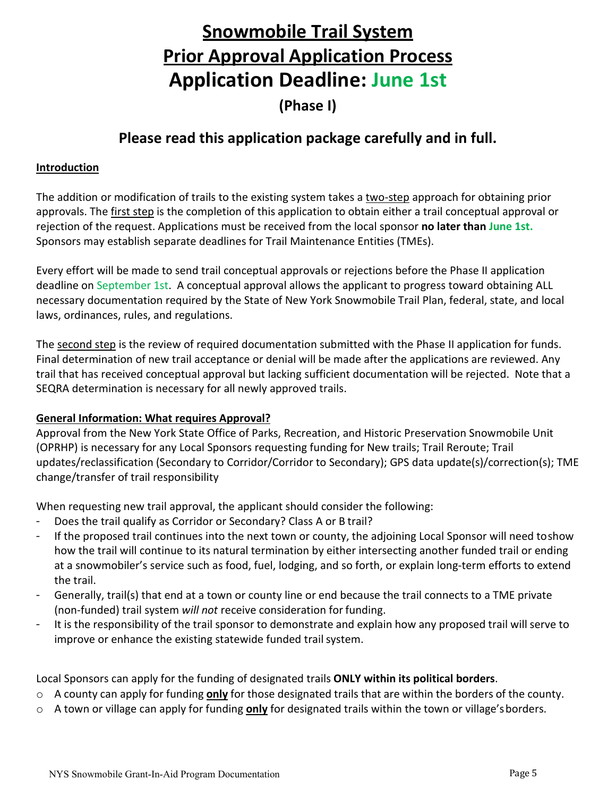# **Snowmobile Trail System Prior Approval Application Process Application Deadline: June 1st**

**(Phase I)**

# **Please read this application package carefully and in full.**

#### <span id="page-4-0"></span>**Introduction**

The addition or modification of trails to the existing system takes a two‐step approach for obtaining prior approvals. The first step is the completion of this application to obtain either a trail conceptual approval or rejection of the request. Applications must be received from the local sponsor **no later than June 1st.**  Sponsors may establish separate deadlines for Trail Maintenance Entities (TMEs).

Every effort will be made to send trail conceptual approvals or rejections before the Phase II application deadline on September 1st. A conceptual approval allows the applicant to progress toward obtaining ALL necessary documentation required by the State of New York Snowmobile Trail Plan, federal, state, and local laws, ordinances, rules, and regulations.

The second step is the review of required documentation submitted with the Phase II application for funds. Final determination of new trail acceptance or denial will be made after the applications are reviewed. Any trail that has received conceptual approval but lacking sufficient documentation will be rejected. Note that a SEQRA determination is necessary for all newly approved trails.

#### <span id="page-4-1"></span>**General Information: What requires Approval?**

Approval from the New York State Office of Parks, Recreation, and Historic Preservation Snowmobile Unit (OPRHP) is necessary for any Local Sponsors requesting funding for New trails; Trail Reroute; Trail updates/reclassification (Secondary to Corridor/Corridor to Secondary); GPS data update(s)/correction(s); TME change/transfer of trail responsibility

When requesting new trail approval, the applicant should consider the following:

- Does the trail qualify as Corridor or Secondary? Class A or B trail?
- If the proposed trail continues into the next town or county, the adjoining Local Sponsor will need toshow how the trail will continue to its natural termination by either intersecting another funded trail or ending at a snowmobiler's service such as food, fuel, lodging, and so forth, or explain long‐term efforts to extend the trail.
- Generally, trail(s) that end at a town or county line or end because the trail connects to a TME private (non‐funded) trail system *will not* receive consideration for funding.
- It is the responsibility of the trail sponsor to demonstrate and explain how any proposed trail will serve to improve or enhance the existing statewide funded trail system.

Local Sponsors can apply for the funding of designated trails **ONLY within its political borders**.

- o A county can apply for funding **only** for those designated trails that are within the borders of the county.
- o A town or village can apply for funding **only** for designated trails within the town or village'sborders.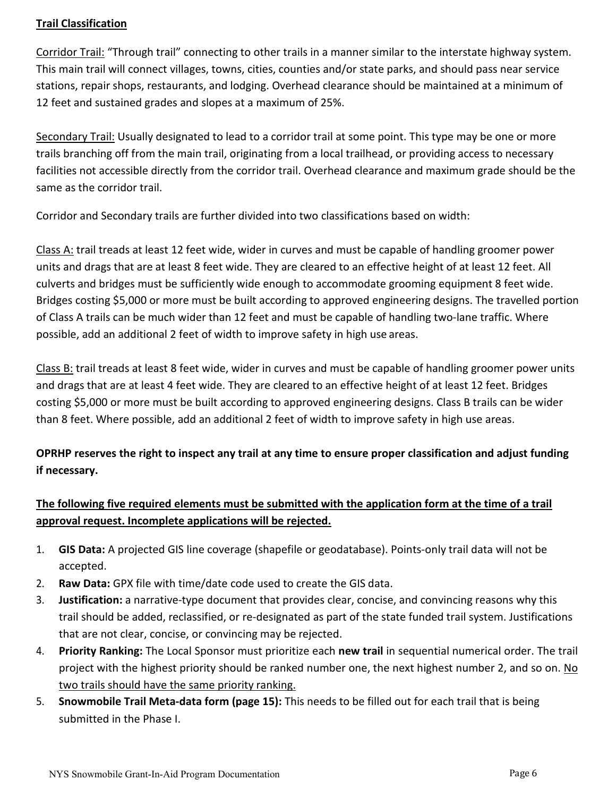### <span id="page-5-0"></span>**Trail Classification**

Corridor Trail: "Through trail" connecting to other trails in a manner similar to the interstate highway system. This main trail will connect villages, towns, cities, counties and/or state parks, and should pass near service stations, repair shops, restaurants, and lodging. Overhead clearance should be maintained at a minimum of 12 feet and sustained grades and slopes at a maximum of 25%.

Secondary Trail: Usually designated to lead to a corridor trail at some point. This type may be one or more trails branching off from the main trail, originating from a local trailhead, or providing access to necessary facilities not accessible directly from the corridor trail. Overhead clearance and maximum grade should be the same as the corridor trail.

Corridor and Secondary trails are further divided into two classifications based on width:

Class A: trail treads at least 12 feet wide, wider in curves and must be capable of handling groomer power units and drags that are at least 8 feet wide. They are cleared to an effective height of at least 12 feet. All culverts and bridges must be sufficiently wide enough to accommodate grooming equipment 8 feet wide. Bridges costing \$5,000 or more must be built according to approved engineering designs. The travelled portion of Class A trails can be much wider than 12 feet and must be capable of handling two‐lane traffic. Where possible, add an additional 2 feet of width to improve safety in high use areas.

Class B: trail treads at least 8 feet wide, wider in curves and must be capable of handling groomer power units and drags that are at least 4 feet wide. They are cleared to an effective height of at least 12 feet. Bridges costing \$5,000 or more must be built according to approved engineering designs. Class B trails can be wider than 8 feet. Where possible, add an additional 2 feet of width to improve safety in high use areas.

# **OPRHP reserves the right to inspect any trail at any time to ensure proper classification and adjust funding if necessary.**

# **The following five required elements must be submitted with the application form at the time of a trail approval request. Incomplete applications will be rejected.**

- 1. **GIS Data:** A projected GIS line coverage (shapefile or geodatabase). Points‐only trail data will not be accepted.
- 2. **Raw Data:** GPX file with time/date code used to create the GIS data.
- 3. **Justification:** a narrative‐type document that provides clear, concise, and convincing reasons why this trail should be added, reclassified, or re‐designated as part of the state funded trail system. Justifications that are not clear, concise, or convincing may be rejected.
- 4. **Priority Ranking:** The Local Sponsor must prioritize each **new trail** in sequential numerical order. The trail project with the highest priority should be ranked number one, the next highest number 2, and so on. No two trails should have the same priority ranking.
- 5. **Snowmobile Trail Meta‐data form (page 15):** This needs to be filled out for each trail that is being submitted in the Phase I.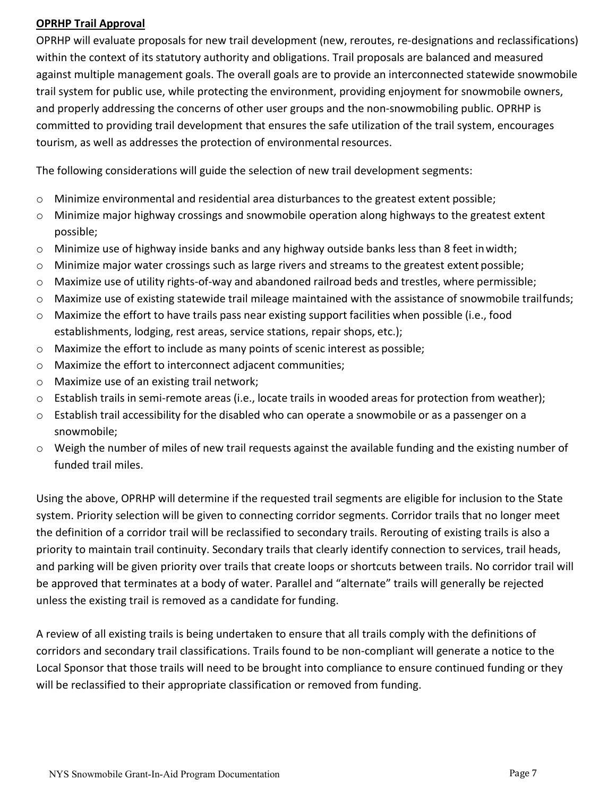#### <span id="page-6-0"></span>**OPRHP Trail Approval**

OPRHP will evaluate proposals for new trail development (new, reroutes, re‐designations and reclassifications) within the context of its statutory authority and obligations. Trail proposals are balanced and measured against multiple management goals. The overall goals are to provide an interconnected statewide snowmobile trail system for public use, while protecting the environment, providing enjoyment for snowmobile owners, and properly addressing the concerns of other user groups and the non-snowmobiling public. OPRHP is committed to providing trail development that ensures the safe utilization of the trail system, encourages tourism, as well as addresses the protection of environmental resources.

The following considerations will guide the selection of new trail development segments:

- o Minimize environmental and residential area disturbances to the greatest extent possible;
- o Minimize major highway crossings and snowmobile operation along highways to the greatest extent possible;
- o Minimize use of highway inside banks and any highway outside banks less than 8 feet inwidth;
- o Minimize major water crossings such as large rivers and streams to the greatest extent possible;
- o Maximize use of utility rights‐of‐way and abandoned railroad beds and trestles, where permissible;
- o Maximize use of existing statewide trail mileage maintained with the assistance of snowmobile trailfunds;
- o Maximize the effort to have trails pass near existing support facilities when possible (i.e., food establishments, lodging, rest areas, service stations, repair shops, etc.);
- o Maximize the effort to include as many points of scenic interest as possible;
- o Maximize the effort to interconnect adjacent communities;
- o Maximize use of an existing trail network;
- o Establish trails in semi‐remote areas (i.e., locate trails in wooded areas for protection from weather);
- o Establish trail accessibility for the disabled who can operate a snowmobile or as a passenger on a snowmobile;
- o Weigh the number of miles of new trail requests against the available funding and the existing number of funded trail miles.

Using the above, OPRHP will determine if the requested trail segments are eligible for inclusion to the State system. Priority selection will be given to connecting corridor segments. Corridor trails that no longer meet the definition of a corridor trail will be reclassified to secondary trails. Rerouting of existing trails is also a priority to maintain trail continuity. Secondary trails that clearly identify connection to services, trail heads, and parking will be given priority over trails that create loops or shortcuts between trails. No corridor trail will be approved that terminates at a body of water. Parallel and "alternate" trails will generally be rejected unless the existing trail is removed as a candidate for funding.

A review of all existing trails is being undertaken to ensure that all trails comply with the definitions of corridors and secondary trail classifications. Trails found to be non‐compliant will generate a notice to the Local Sponsor that those trails will need to be brought into compliance to ensure continued funding or they will be reclassified to their appropriate classification or removed from funding.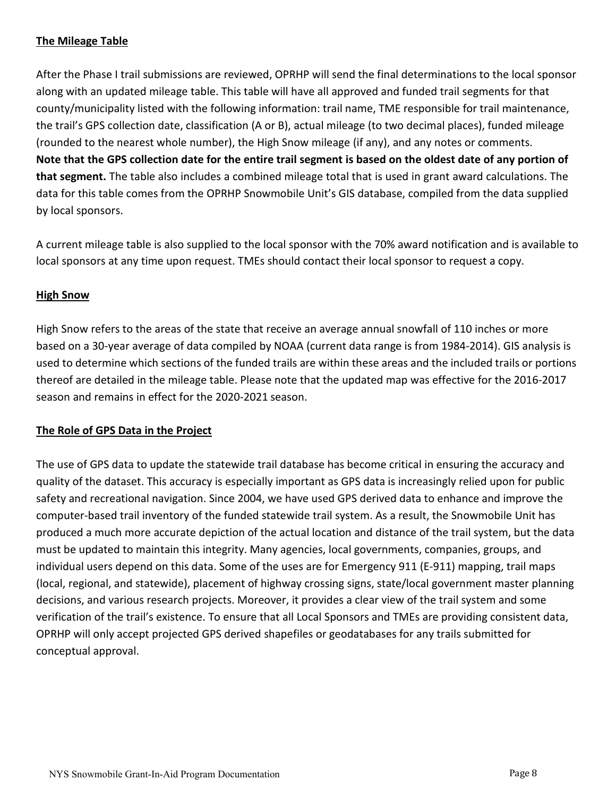### <span id="page-7-0"></span>**The Mileage Table**

After the Phase I trail submissions are reviewed, OPRHP will send the final determinations to the local sponsor along with an updated mileage table. This table will have all approved and funded trail segments for that county/municipality listed with the following information: trail name, TME responsible for trail maintenance, the trail's GPS collection date, classification (A or B), actual mileage (to two decimal places), funded mileage (rounded to the nearest whole number), the High Snow mileage (if any), and any notes or comments. **Note that the GPS collection date for the entire trail segment is based on the oldest date of any portion of that segment.** The table also includes a combined mileage total that is used in grant award calculations. The data for this table comes from the OPRHP Snowmobile Unit's GIS database, compiled from the data supplied by local sponsors.

A current mileage table is also supplied to the local sponsor with the 70% award notification and is available to local sponsors at any time upon request. TMEs should contact their local sponsor to request a copy.

#### <span id="page-7-1"></span>**High Snow**

High Snow refers to the areas of the state that receive an average annual snowfall of 110 inches or more based on a 30‐year average of data compiled by NOAA (current data range is from 1984‐2014). GIS analysis is used to determine which sections of the funded trails are within these areas and the included trails or portions thereof are detailed in the mileage table. Please note that the updated map was effective for the 2016‐2017 season and remains in effect for the 2020‐2021 season.

## <span id="page-7-2"></span>**The Role of GPS Data in the Project**

The use of GPS data to update the statewide trail database has become critical in ensuring the accuracy and quality of the dataset. This accuracy is especially important as GPS data is increasingly relied upon for public safety and recreational navigation. Since 2004, we have used GPS derived data to enhance and improve the computer‐based trail inventory of the funded statewide trail system. As a result, the Snowmobile Unit has produced a much more accurate depiction of the actual location and distance of the trail system, but the data must be updated to maintain this integrity. Many agencies, local governments, companies, groups, and individual users depend on this data. Some of the uses are for Emergency 911 (E‐911) mapping, trail maps (local, regional, and statewide), placement of highway crossing signs, state/local government master planning decisions, and various research projects. Moreover, it provides a clear view of the trail system and some verification of the trail's existence. To ensure that all Local Sponsors and TMEs are providing consistent data, OPRHP will only accept projected GPS derived shapefiles or geodatabases for any trails submitted for conceptual approval.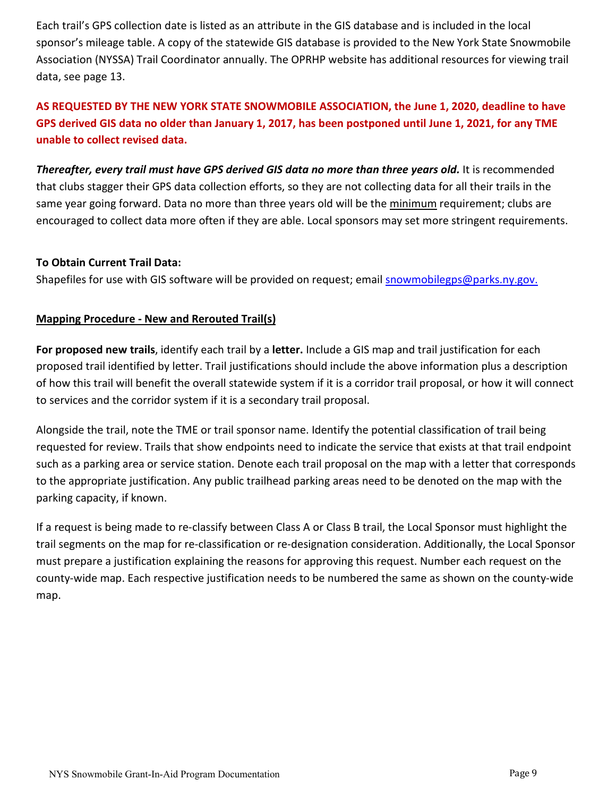Each trail's GPS collection date is listed as an attribute in the GIS database and is included in the local sponsor's mileage table. A copy of the statewide GIS database is provided to the New York State Snowmobile Association (NYSSA) Trail Coordinator annually. The OPRHP website has additional resources for viewing trail data, see page 13.

# **AS REQUESTED BY THE NEW YORK STATE SNOWMOBILE ASSOCIATION, the June 1, 2020, deadline to have GPS derived GIS data no older than January 1, 2017, has been postponed until June 1, 2021, for any TME unable to collect revised data.**

**Thereafter, every trail must have GPS derived GIS data no more than three years old.** It is recommended that clubs stagger their GPS data collection efforts, so they are not collecting data for all their trails in the same year going forward. Data no more than three years old will be the minimum requirement; clubs are encouraged to collect data more often if they are able. Local sponsors may set more stringent requirements.

#### **To Obtain Current Trail Data:**

Shapefiles for use with GIS software will be provided on request; email [snowmobilegps@parks.ny.gov.](mailto:snowmobilegps@parks.ny.gov.)

#### <span id="page-8-0"></span>**Mapping Procedure ‐ New and Rerouted Trail(s)**

**For proposed new trails**, identify each trail by a **letter.** Include a GIS map and trail justification for each proposed trail identified by letter. Trail justifications should include the above information plus a description of how this trail will benefit the overall statewide system if it is a corridor trail proposal, or how it will connect to services and the corridor system if it is a secondary trail proposal.

Alongside the trail, note the TME or trail sponsor name. Identify the potential classification of trail being requested for review. Trails that show endpoints need to indicate the service that exists at that trail endpoint such as a parking area or service station. Denote each trail proposal on the map with a letter that corresponds to the appropriate justification. Any public trailhead parking areas need to be denoted on the map with the parking capacity, if known.

If a request is being made to re‐classify between Class A or Class B trail, the Local Sponsor must highlight the trail segments on the map for re‐classification or re‐designation consideration. Additionally, the Local Sponsor must prepare a justification explaining the reasons for approving this request. Number each request on the county‐wide map. Each respective justification needs to be numbered the same as shown on the county‐wide map.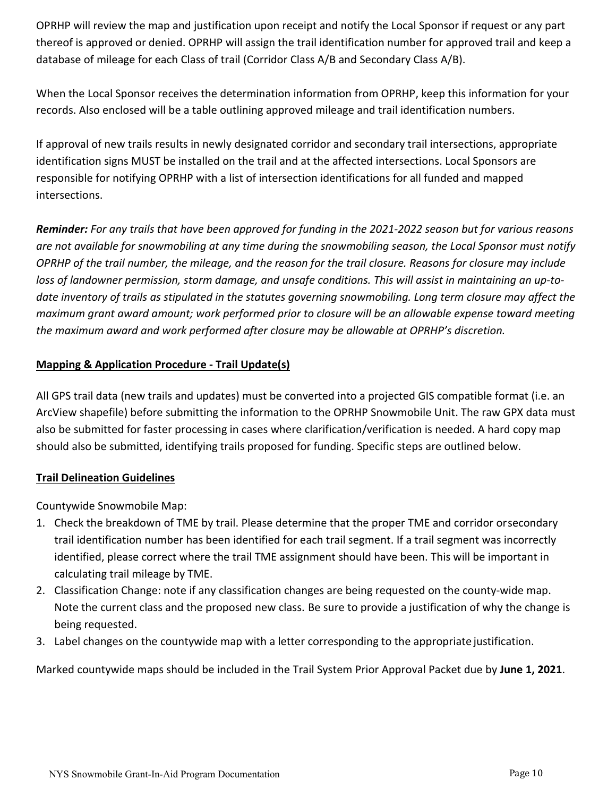OPRHP will review the map and justification upon receipt and notify the Local Sponsor if request or any part thereof is approved or denied. OPRHP will assign the trail identification number for approved trail and keep a database of mileage for each Class of trail (Corridor Class A/B and Secondary Class A/B).

When the Local Sponsor receives the determination information from OPRHP, keep this information for your records. Also enclosed will be a table outlining approved mileage and trail identification numbers.

If approval of new trails results in newly designated corridor and secondary trail intersections, appropriate identification signs MUST be installed on the trail and at the affected intersections. Local Sponsors are responsible for notifying OPRHP with a list of intersection identifications for all funded and mapped intersections.

*Reminder: For any trails that have been approved for funding in the 2021-2022 season but for various reasons are not available for snowmobiling at any time during the snowmobiling season, the Local Sponsor must notify OPRHP of the trail number, the mileage, and the reason for the trail closure. Reasons for closure may include loss of landowner permission, storm damage, and unsafe conditions. This will assist in maintaining an up-todate inventory of trails as stipulated in the statutes governing snowmobiling. Long term closure may affect the maximum grant award amount; work performed prior to closure will be an allowable expense toward meeting the maximum award and work performed after closure may be allowable at OPRHP's discretion.*

### <span id="page-9-0"></span>**Mapping & Application Procedure ‐ Trail Update(s)**

All GPS trail data (new trails and updates) must be converted into a projected GIS compatible format (i.e. an ArcView shapefile) before submitting the information to the OPRHP Snowmobile Unit. The raw GPX data must also be submitted for faster processing in cases where clarification/verification is needed. A hard copy map should also be submitted, identifying trails proposed for funding. Specific steps are outlined below.

#### <span id="page-9-1"></span>**Trail Delineation Guidelines**

Countywide Snowmobile Map:

- 1. Check the breakdown of TME by trail. Please determine that the proper TME and corridor orsecondary trail identification number has been identified for each trail segment. If a trail segment was incorrectly identified, please correct where the trail TME assignment should have been. This will be important in calculating trail mileage by TME.
- 2. Classification Change: note if any classification changes are being requested on the county‐wide map. Note the current class and the proposed new class. Be sure to provide a justification of why the change is being requested.
- 3. Label changes on the countywide map with a letter corresponding to the appropriate justification.

Marked countywide maps should be included in the Trail System Prior Approval Packet due by **June 1, 2021**.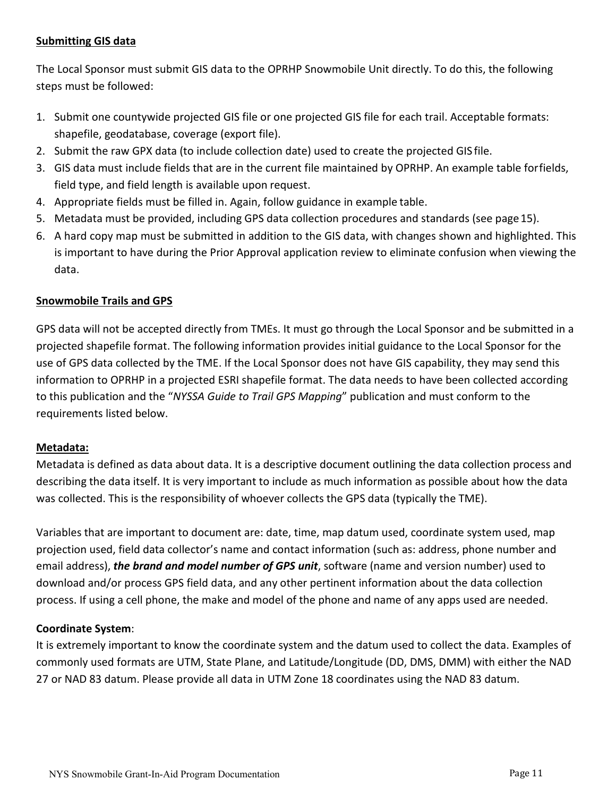### <span id="page-10-0"></span>**Submitting GIS data**

The Local Sponsor must submit GIS data to the OPRHP Snowmobile Unit directly. To do this, the following steps must be followed:

- 1. Submit one countywide projected GIS file or one projected GIS file for each trail. Acceptable formats: shapefile, geodatabase, coverage (export file).
- 2. Submit the raw GPX data (to include collection date) used to create the projected GIS file.
- 3. GIS data must include fields that are in the current file maintained by OPRHP. An example table forfields, field type, and field length is available upon request.
- 4. Appropriate fields must be filled in. Again, follow guidance in example table.
- 5. Metadata must be provided, including GPS data collection procedures and standards (see page15).
- 6. A hard copy map must be submitted in addition to the GIS data, with changes shown and highlighted. This is important to have during the Prior Approval application review to eliminate confusion when viewing the data.

#### <span id="page-10-1"></span>**Snowmobile Trails and GPS**

GPS data will not be accepted directly from TMEs. It must go through the Local Sponsor and be submitted in a projected shapefile format. The following information provides initial guidance to the Local Sponsor for the use of GPS data collected by the TME. If the Local Sponsor does not have GIS capability, they may send this information to OPRHP in a projected ESRI shapefile format. The data needs to have been collected according to this publication and the "*NYSSA Guide to Trail GPS Mapping*" publication and must conform to the requirements listed below.

#### <span id="page-10-2"></span>**Metadata:**

Metadata is defined as data about data. It is a descriptive document outlining the data collection process and describing the data itself. It is very important to include as much information as possible about how the data was collected. This is the responsibility of whoever collects the GPS data (typically the TME).

Variables that are important to document are: date, time, map datum used, coordinate system used, map projection used, field data collector's name and contact information (such as: address, phone number and email address), *the brand and model number of GPS unit*, software (name and version number) used to download and/or process GPS field data, and any other pertinent information about the data collection process. If using a cell phone, the make and model of the phone and name of any apps used are needed.

#### **Coordinate System**:

It is extremely important to know the coordinate system and the datum used to collect the data. Examples of commonly used formats are UTM, State Plane, and Latitude/Longitude (DD, DMS, DMM) with either the NAD 27 or NAD 83 datum. Please provide all data in UTM Zone 18 coordinates using the NAD 83 datum.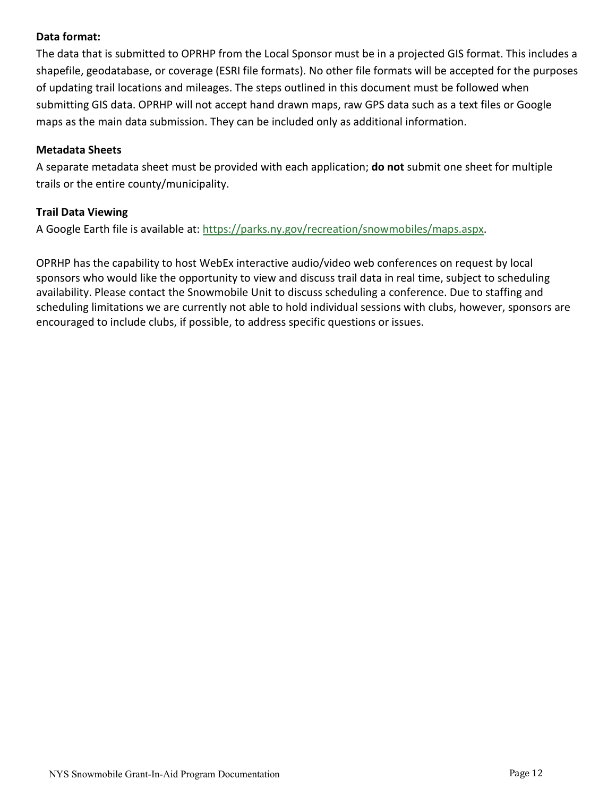#### **Data format:**

The data that is submitted to OPRHP from the Local Sponsor must be in a projected GIS format. This includes a shapefile, geodatabase, or coverage (ESRI file formats). No other file formats will be accepted for the purposes of updating trail locations and mileages. The steps outlined in this document must be followed when submitting GIS data. OPRHP will not accept hand drawn maps, raw GPS data such as a text files or Google maps as the main data submission. They can be included only as additional information.

#### **Metadata Sheets**

A separate metadata sheet must be provided with each application; **do not** submit one sheet for multiple trails or the entire county/municipality.

#### **Trail Data Viewing**

A Google Earth file is available at: https://parks.ny.gov/recreation/snowmobiles/maps.aspx.

OPRHP has the capability to host WebEx interactive audio/video web conferences on request by local sponsors who would like the opportunity to view and discuss trail data in real time, subject to scheduling availability. Please contact the Snowmobile Unit to discuss scheduling a conference. Due to staffing and scheduling limitations we are currently not able to hold individual sessions with clubs, however, sponsors are encouraged to include clubs, if possible, to address specific questions or issues.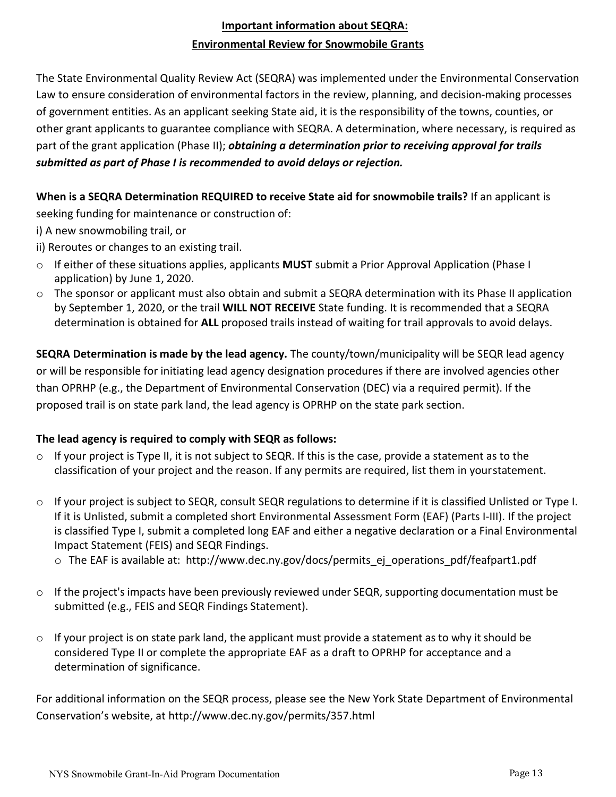# **Important information about SEQRA: Environmental Review for Snowmobile Grants**

<span id="page-12-0"></span>The State Environmental Quality Review Act (SEQRA) was implemented under the Environmental Conservation Law to ensure consideration of environmental factors in the review, planning, and decision-making processes of government entities. As an applicant seeking State aid, it is the responsibility of the towns, counties, or other grant applicants to guarantee compliance with SEQRA. A determination, where necessary, is required as part of the grant application (Phase II); *obtaining a determination prior to receiving approval for trails submitted as part of Phase I is recommended to avoid delays or rejection.*

**When is a SEQRA Determination REQUIRED to receive State aid for snowmobile trails?** If an applicant is seeking funding for maintenance or construction of:

- i) A new snowmobiling trail, or
- ii) Reroutes or changes to an existing trail.
- o If either of these situations applies, applicants **MUST** submit a Prior Approval Application (Phase I application) by June 1, 2020.
- o The sponsor or applicant must also obtain and submit a SEQRA determination with its Phase II application by September 1, 2020, or the trail **WILL NOT RECEIVE** State funding. It is recommended that a SEQRA determination is obtained for **ALL** proposed trails instead of waiting for trail approvals to avoid delays.

**SEQRA Determination is made by the lead agency.** The county/town/municipality will be SEQR lead agency or will be responsible for initiating lead agency designation procedures if there are involved agencies other than OPRHP (e.g., the Department of Environmental Conservation (DEC) via a required permit). If the proposed trail is on state park land, the lead agency is OPRHP on the state park section.

#### **The lead agency is required to comply with SEQR as follows:**

- $\circ$  If your project is Type II, it is not subject to SEQR. If this is the case, provide a statement as to the classification of your project and the reason. If any permits are required, list them in yourstatement.
- $\circ$  If your project is subject to SEQR, consult SEQR regulations to determine if it is classified Unlisted or Type I. If it is Unlisted, submit a completed short Environmental Assessment Form (EAF) (Parts I‐III). If the project is classified Type I, submit a completed long EAF and either a negative declaration or a Final Environmental Impact Statement (FEIS) and SEQR Findings.
	- o The EAF is available at: [http://www.dec.ny.gov/docs/permits\\_ej\\_operations\\_pdf/feafpart1.pdf](http://www.dec.ny.gov/docs/permits_ej_operations_pdf/feafpart1.pdf)
- $\circ$  If the project's impacts have been previously reviewed under SEQR, supporting documentation must be submitted (e.g., FEIS and SEQR Findings Statement).
- $\circ$  If your project is on state park land, the applicant must provide a statement as to why it should be considered Type II or complete the appropriate EAF as a draft to OPRHP for acceptance and a determination of significance.

For additional information on the SEQR process, please see the New York State Department of Environmental Conservation's website, at <http://www.dec.ny.gov/permits/357.html>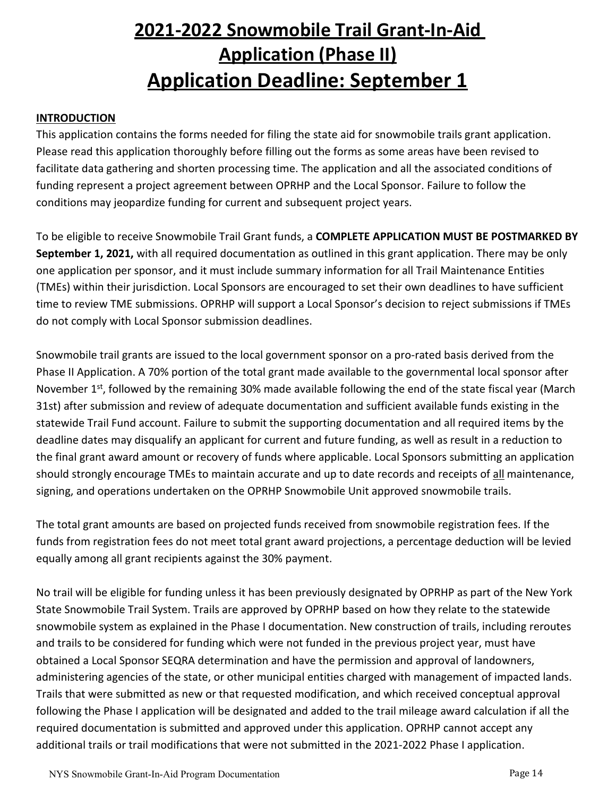# **2021‐2022 Snowmobile Trail Grant‐In‐Aid Application (Phase II) Application Deadline: September 1**

#### <span id="page-13-2"></span><span id="page-13-1"></span><span id="page-13-0"></span>**INTRODUCTION**

This application contains the forms needed for filing the state aid for snowmobile trails grant application. Please read this application thoroughly before filling out the forms as some areas have been revised to facilitate data gathering and shorten processing time. The application and all the associated conditions of funding represent a project agreement between OPRHP and the Local Sponsor. Failure to follow the conditions may jeopardize funding for current and subsequent project years.

To be eligible to receive Snowmobile Trail Grant funds, a **COMPLETE APPLICATION MUST BE POSTMARKED BY September 1, 2021,** with all required documentation as outlined in this grant application. There may be only one application per sponsor, and it must include summary information for all Trail Maintenance Entities (TMEs) within their jurisdiction. Local Sponsors are encouraged to set their own deadlines to have sufficient time to review TME submissions. OPRHP will support a Local Sponsor's decision to reject submissions if TMEs do not comply with Local Sponsor submission deadlines.

Snowmobile trail grants are issued to the local government sponsor on a pro-rated basis derived from the Phase II Application. A 70% portion of the total grant made available to the governmental local sponsor after November  $1<sup>st</sup>$ , followed by the remaining 30% made available following the end of the state fiscal year (March 31st) after submission and review of adequate documentation and sufficient available funds existing in the statewide Trail Fund account. Failure to submit the supporting documentation and all required items by the deadline dates may disqualify an applicant for current and future funding, as well as result in a reduction to the final grant award amount or recovery of funds where applicable. Local Sponsors submitting an application should strongly encourage TMEs to maintain accurate and up to date records and receipts of all maintenance, signing, and operations undertaken on the OPRHP Snowmobile Unit approved snowmobile trails.

The total grant amounts are based on projected funds received from snowmobile registration fees. If the funds from registration fees do not meet total grant award projections, a percentage deduction will be levied equally among all grant recipients against the 30% payment.

No trail will be eligible for funding unless it has been previously designated by OPRHP as part of the New York State Snowmobile Trail System. Trails are approved by OPRHP based on how they relate to the statewide snowmobile system as explained in the Phase I documentation. New construction of trails, including reroutes and trails to be considered for funding which were not funded in the previous project year, must have obtained a Local Sponsor SEQRA determination and have the permission and approval of landowners, administering agencies of the state, or other municipal entities charged with management of impacted lands. Trails that were submitted as new or that requested modification, and which received conceptual approval following the Phase I application will be designated and added to the trail mileage award calculation if all the required documentation is submitted and approved under this application. OPRHP cannot accept any additional trails or trail modifications that were not submitted in the 2021‐2022 Phase I application.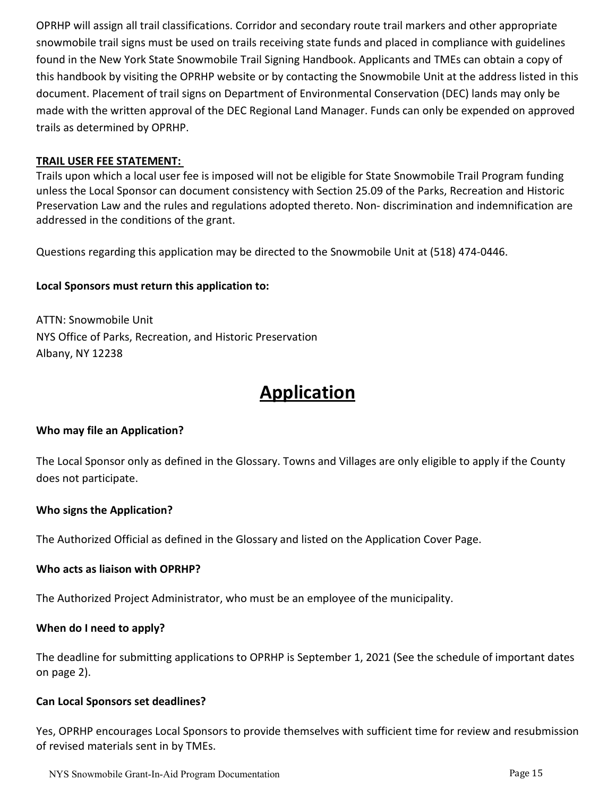OPRHP will assign all trail classifications. Corridor and secondary route trail markers and other appropriate snowmobile trail signs must be used on trails receiving state funds and placed in compliance with guidelines found in the New York State Snowmobile Trail Signing Handbook. Applicants and TMEs can obtain a copy of this handbook by visiting the OPRHP website or by contacting the Snowmobile Unit at the address listed in this document. Placement of trail signs on Department of Environmental Conservation (DEC) lands may only be made with the written approval of the DEC Regional Land Manager. Funds can only be expended on approved trails as determined by OPRHP.

#### <span id="page-14-0"></span>**TRAIL USER FEE STATEMENT:**

Trails upon which a local user fee is imposed will not be eligible for State Snowmobile Trail Program funding unless the Local Sponsor can document consistency with Section 25.09 of the Parks, Recreation and Historic Preservation Law and the rules and regulations adopted thereto. Non- discrimination and indemnification are addressed in the conditions of the grant.

Questions regarding this application may be directed to the Snowmobile Unit at (518) 474‐0446.

#### **Local Sponsors must return this application to:**

ATTN: Snowmobile Unit NYS Office of Parks, Recreation, and Historic Preservation Albany, NY 12238

# **Application**

#### **Who may file an Application?**

The Local Sponsor only as defined in the Glossary. Towns and Villages are only eligible to apply if the County does not participate.

#### **Who signs the Application?**

The Authorized Official as defined in the Glossary and listed on the Application Cover Page.

#### **Who acts as liaison with OPRHP?**

The Authorized Project Administrator, who must be an employee of the municipality.

#### **When do I need to apply?**

The deadline for submitting applications to OPRHP is September 1, 2021 (See the schedule of important dates on page 2).

#### **Can Local Sponsors set deadlines?**

Yes, OPRHP encourages Local Sponsors to provide themselves with sufficient time for review and resubmission of revised materials sent in by TMEs.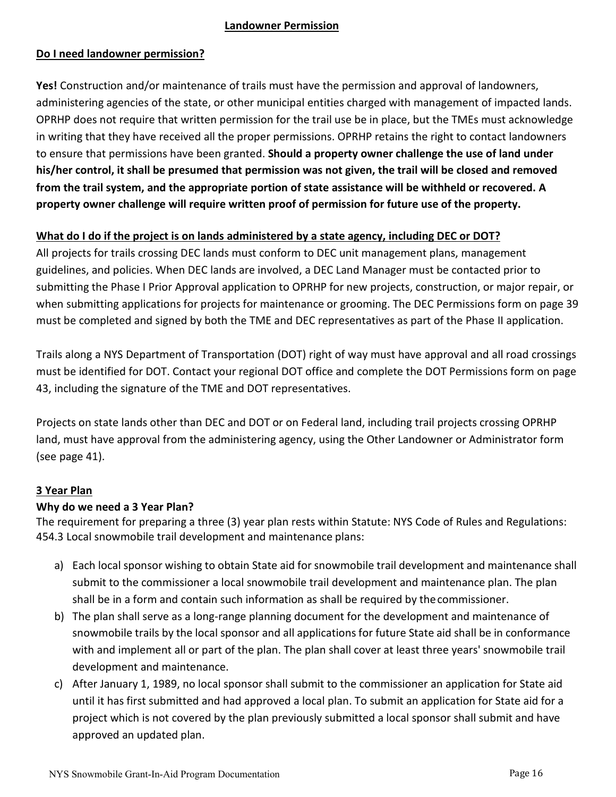#### <span id="page-15-0"></span>**Landowner Permission**

#### **Do I need landowner permission?**

**Yes!** Construction and/or maintenance of trails must have the permission and approval of landowners, administering agencies of the state, or other municipal entities charged with management of impacted lands. OPRHP does not require that written permission for the trail use be in place, but the TMEs must acknowledge in writing that they have received all the proper permissions. OPRHP retains the right to contact landowners to ensure that permissions have been granted. **Should a property owner challenge the use of land under his/her control, it shall be presumed that permission was not given, the trail will be closed and removed from the trail system, and the appropriate portion of state assistance will be withheld or recovered. A property owner challenge will require written proof of permission for future use of the property.**

#### **What do I do if the project is on lands administered by a state agency, including DEC or DOT?**

All projects for trails crossing DEC lands must conform to DEC unit management plans, management guidelines, and policies. When DEC lands are involved, a DEC Land Manager must be contacted prior to submitting the Phase I Prior Approval application to OPRHP for new projects, construction, or major repair, or when submitting applications for projects for maintenance or grooming. The DEC Permissions form on page 39 must be completed and signed by both the TME and DEC representatives as part of the Phase II application.

Trails along a NYS Department of Transportation (DOT) right of way must have approval and all road crossings must be identified for DOT. Contact your regional DOT office and complete the DOT Permissions form on page 43, including the signature of the TME and DOT representatives.

Projects on state lands other than DEC and DOT or on Federal land, including trail projects crossing OPRHP land, must have approval from the administering agency, using the Other Landowner or Administrator form (see page 41).

#### <span id="page-15-1"></span>**3 Year Plan**

#### **Why do we need a 3 Year Plan?**

The requirement for preparing a three (3) year plan rests within Statute: NYS Code of Rules and Regulations: 454.3 Local snowmobile trail development and maintenance plans:

- a) Each local sponsor wishing to obtain State aid for snowmobile trail development and maintenance shall submit to the commissioner a local snowmobile trail development and maintenance plan. The plan shall be in a form and contain such information as shall be required by thecommissioner.
- b) The plan shall serve as a long-range planning document for the development and maintenance of snowmobile trails by the local sponsor and all applications for future State aid shall be in conformance with and implement all or part of the plan. The plan shall cover at least three years' snowmobile trail development and maintenance.
- c) After January 1, 1989, no local sponsor shall submit to the commissioner an application for State aid until it has first submitted and had approved a local plan. To submit an application for State aid for a project which is not covered by the plan previously submitted a local sponsor shall submit and have approved an updated plan.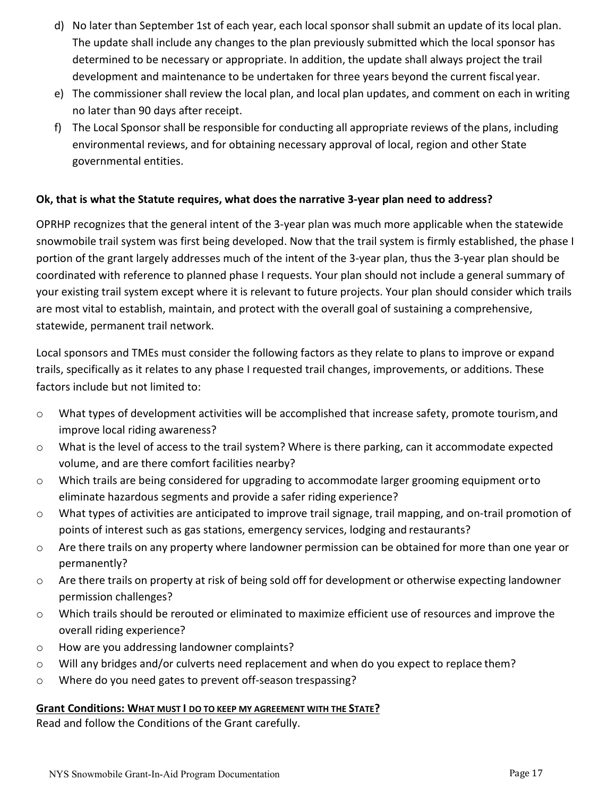- d) No later than September 1st of each year, each local sponsor shall submit an update of its local plan. The update shall include any changes to the plan previously submitted which the local sponsor has determined to be necessary or appropriate. In addition, the update shall always project the trail development and maintenance to be undertaken for three years beyond the current fiscal year.
- e) The commissioner shall review the local plan, and local plan updates, and comment on each in writing no later than 90 days after receipt.
- f) The Local Sponsor shall be responsible for conducting all appropriate reviews of the plans, including environmental reviews, and for obtaining necessary approval of local, region and other State governmental entities.

#### **Ok, that is what the Statute requires, what does the narrative 3‐year plan need to address?**

OPRHP recognizes that the general intent of the 3‐year plan was much more applicable when the statewide snowmobile trail system was first being developed. Now that the trail system is firmly established, the phase I portion of the grant largely addresses much of the intent of the 3‐year plan, thus the 3‐year plan should be coordinated with reference to planned phase I requests. Your plan should not include a general summary of your existing trail system except where it is relevant to future projects. Your plan should consider which trails are most vital to establish, maintain, and protect with the overall goal of sustaining a comprehensive, statewide, permanent trail network.

Local sponsors and TMEs must consider the following factors as they relate to plans to improve or expand trails, specifically as it relates to any phase I requested trail changes, improvements, or additions. These factors include but not limited to:

- $\circ$  What types of development activities will be accomplished that increase safety, promote tourism, and improve local riding awareness?
- o What is the level of access to the trail system? Where is there parking, can it accommodate expected volume, and are there comfort facilities nearby?
- $\circ$  Which trails are being considered for upgrading to accommodate larger grooming equipment orto eliminate hazardous segments and provide a safer riding experience?
- o What types of activities are anticipated to improve trail signage, trail mapping, and on‐trail promotion of points of interest such as gas stations, emergency services, lodging and restaurants?
- o Are there trails on any property where landowner permission can be obtained for more than one year or permanently?
- o Are there trails on property at risk of being sold off for development or otherwise expecting landowner permission challenges?
- o Which trails should be rerouted or eliminated to maximize efficient use of resources and improve the overall riding experience?
- o How are you addressing landowner complaints?
- o Will any bridges and/or culverts need replacement and when do you expect to replace them?
- o Where do you need gates to prevent off‐season trespassing?

#### **Grant Conditions: WHAT MUST I DO TO KEEP MY AGREEMENT WITH THE STATE?**

Read and follow the Conditions of the Grant carefully.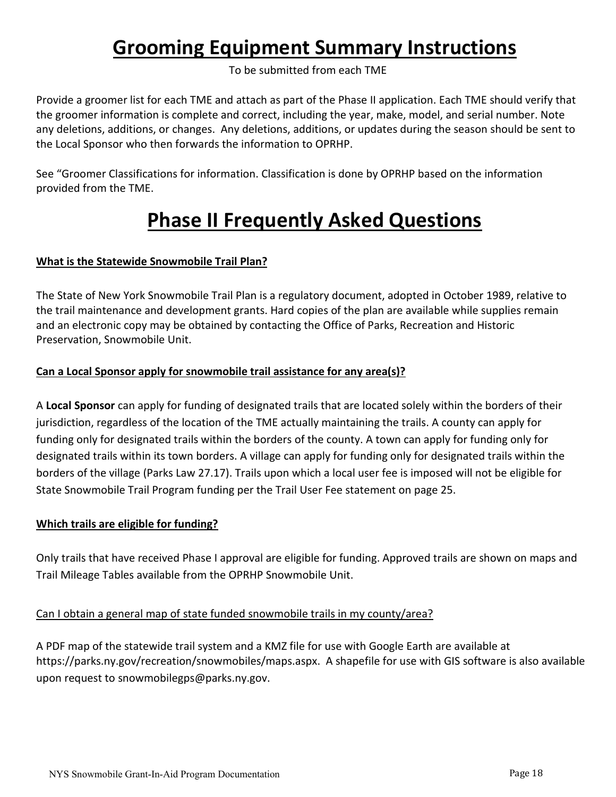# **Grooming Equipment Summary Instructions**

To be submitted from each TME

<span id="page-17-0"></span>Provide a groomer list for each TME and attach as part of the Phase II application. Each TME should verify that the groomer information is complete and correct, including the year, make, model, and serial number. Note any deletions, additions, or changes. Any deletions, additions, or updates during the season should be sent to the Local Sponsor who then forwards the information to OPRHP.

<span id="page-17-1"></span>See "Groomer Classifications for information. Classification is done by OPRHP based on the information provided from the TME.

# **Phase II Frequently Asked Questions**

## **What is the Statewide Snowmobile Trail Plan?**

The State of New York Snowmobile Trail Plan is a regulatory document, adopted in October 1989, relative to the trail maintenance and development grants. Hard copies of the plan are available while supplies remain and an electronic copy may be obtained by contacting the Office of Parks, Recreation and Historic Preservation, Snowmobile Unit.

## **Can a Local Sponsor apply for snowmobile trail assistance for any area(s)?**

A **Local Sponsor** can apply for funding of designated trails that are located solely within the borders of their jurisdiction, regardless of the location of the TME actually maintaining the trails. A county can apply for funding only for designated trails within the borders of the county. A town can apply for funding only for designated trails within its town borders. A village can apply for funding only for designated trails within the borders of the village (Parks Law 27.17). Trails upon which a local user fee is imposed will not be eligible for State Snowmobile Trail Program funding per the Trail User Fee statement on page 25.

## **Which trails are eligible for funding?**

Only trails that have received Phase I approval are eligible for funding. Approved trails are shown on maps and Trail Mileage Tables available from the OPRHP Snowmobile Unit.

## Can I obtain a general map of state funded snowmobile trails in my county/area?

A PDF map of the statewide trail system and a KMZ file for use with Google Earth are available at https://parks.ny.gov/recreation/snowmobiles/maps.aspx. A shapefile for use with GIS software is also available upon request to snowmobilegps@parks.ny.gov.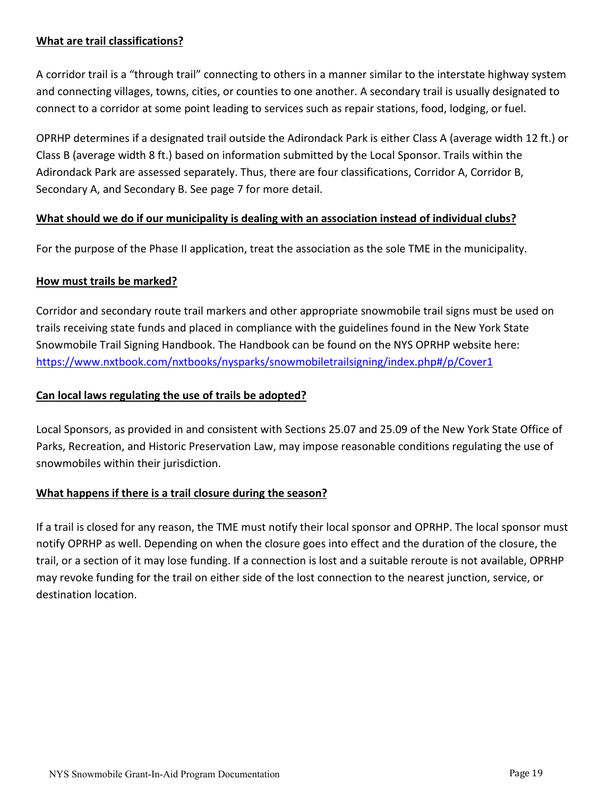#### **What are trail classifications?**

A corridor trail is a "through trail" connecting to others in a manner similar to the interstate highway system and connecting villages, towns, cities, or counties to one another. A secondary trail is usually designated to connect to a corridor at some point leading to services such as repair stations, food, lodging, or fuel.

OPRHP determines if a designated trail outside the Adirondack Park is either Class A (average width 12 ft.) or Class B (average width 8 ft.) based on information submitted by the Local Sponsor. Trails within the Adirondack Park are assessed separately. Thus, there are four classifications, Corridor A, Corridor B, Secondary A, and Secondary B. See page 7 for more detail.

#### **What should we do if our municipality is dealing with an association instead of individual clubs?**

For the purpose of the Phase II application, treat the association as the sole TME in the municipality.

#### **How must trails be marked?**

Corridor and secondary route trail markers and other appropriate snowmobile trail signs must be used on trails receiving state funds and placed in compliance with the guidelines found in the New York State Snowmobile Trail Signing Handbook. The Handbook can be found on the NYS OPRHP website here: <https://www.nxtbook.com/nxtbooks/nysparks/snowmobiletrailsigning/index.php#/p/Cover1>

#### **Can local laws regulating the use of trails be adopted?**

Local Sponsors, as provided in and consistent with Sections 25.07 and 25.09 of the New York State Office of Parks, Recreation, and Historic Preservation Law, may impose reasonable conditions regulating the use of snowmobiles within their jurisdiction.

#### **What happens if there is a trail closure during the season?**

If a trail is closed for any reason, the TME must notify their local sponsor and OPRHP. The local sponsor must notify OPRHP as well. Depending on when the closure goes into effect and the duration of the closure, the trail, or a section of it may lose funding. If a connection is lost and a suitable reroute is not available, OPRHP may revoke funding for the trail on either side of the lost connection to the nearest junction, service, or destination location.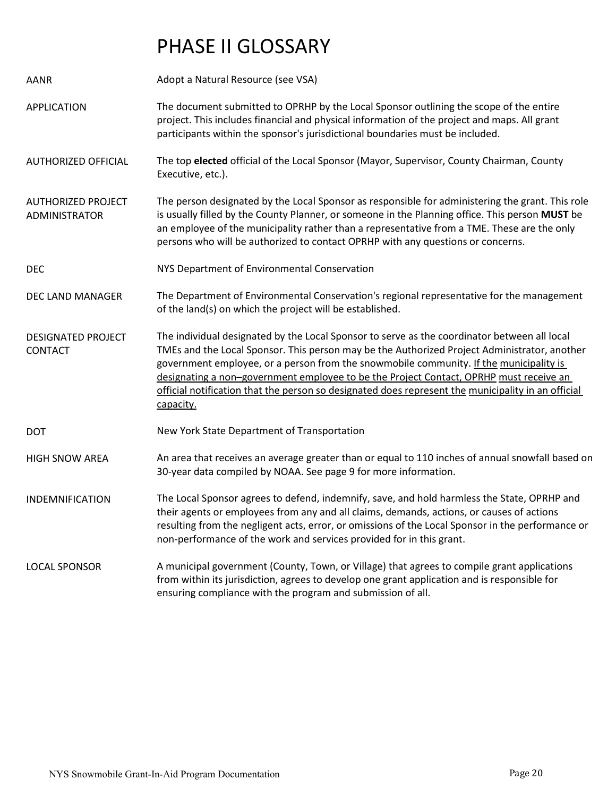# PHASE II GLOSSARY

| AANR                                        | Adopt a Natural Resource (see VSA)                                                                                                                                                                                                                                                                                                                                                                                                                                                                  |
|---------------------------------------------|-----------------------------------------------------------------------------------------------------------------------------------------------------------------------------------------------------------------------------------------------------------------------------------------------------------------------------------------------------------------------------------------------------------------------------------------------------------------------------------------------------|
| <b>APPLICATION</b>                          | The document submitted to OPRHP by the Local Sponsor outlining the scope of the entire<br>project. This includes financial and physical information of the project and maps. All grant<br>participants within the sponsor's jurisdictional boundaries must be included.                                                                                                                                                                                                                             |
| <b>AUTHORIZED OFFICIAL</b>                  | The top elected official of the Local Sponsor (Mayor, Supervisor, County Chairman, County<br>Executive, etc.).                                                                                                                                                                                                                                                                                                                                                                                      |
| <b>AUTHORIZED PROJECT</b><br>ADMINISTRATOR  | The person designated by the Local Sponsor as responsible for administering the grant. This role<br>is usually filled by the County Planner, or someone in the Planning office. This person MUST be<br>an employee of the municipality rather than a representative from a TME. These are the only<br>persons who will be authorized to contact OPRHP with any questions or concerns.                                                                                                               |
| <b>DEC</b>                                  | NYS Department of Environmental Conservation                                                                                                                                                                                                                                                                                                                                                                                                                                                        |
| DEC LAND MANAGER                            | The Department of Environmental Conservation's regional representative for the management<br>of the land(s) on which the project will be established.                                                                                                                                                                                                                                                                                                                                               |
| <b>DESIGNATED PROJECT</b><br><b>CONTACT</b> | The individual designated by the Local Sponsor to serve as the coordinator between all local<br>TMEs and the Local Sponsor. This person may be the Authorized Project Administrator, another<br>government employee, or a person from the snowmobile community. If the municipality is<br>designating a non-government employee to be the Project Contact, OPRHP must receive an<br>official notification that the person so designated does represent the municipality in an official<br>capacity. |
| <b>DOT</b>                                  | New York State Department of Transportation                                                                                                                                                                                                                                                                                                                                                                                                                                                         |
| <b>HIGH SNOW AREA</b>                       | An area that receives an average greater than or equal to 110 inches of annual snowfall based on<br>30-year data compiled by NOAA. See page 9 for more information.                                                                                                                                                                                                                                                                                                                                 |
| <b>INDEMNIFICATION</b>                      | The Local Sponsor agrees to defend, indemnify, save, and hold harmless the State, OPRHP and<br>their agents or employees from any and all claims, demands, actions, or causes of actions<br>resulting from the negligent acts, error, or omissions of the Local Sponsor in the performance or<br>non-performance of the work and services provided for in this grant.                                                                                                                               |
| LOCAL SPONSOR                               | A municipal government (County, Town, or Village) that agrees to compile grant applications<br>from within its jurisdiction, agrees to develop one grant application and is responsible for<br>ensuring compliance with the program and submission of all.                                                                                                                                                                                                                                          |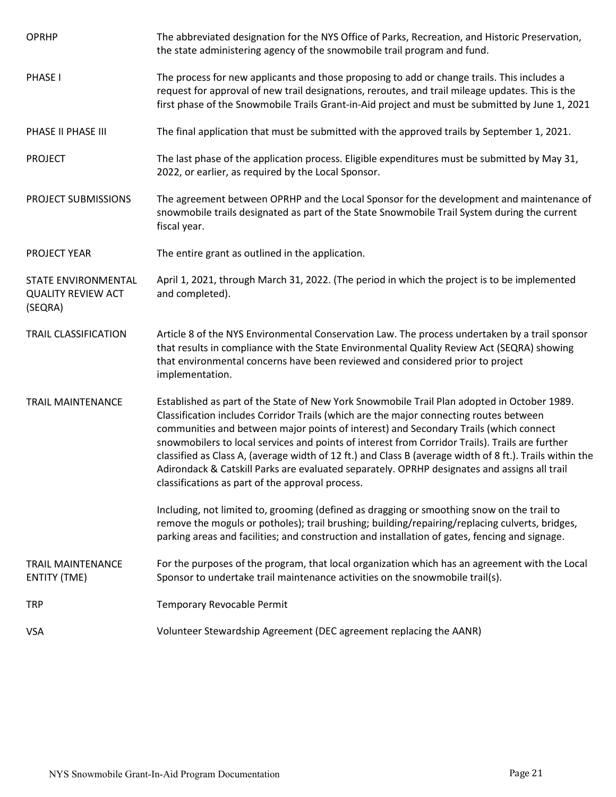| <b>OPRHP</b>                                                | The abbreviated designation for the NYS Office of Parks, Recreation, and Historic Preservation,<br>the state administering agency of the snowmobile trail program and fund.                                                                                                                                                                                                                                                                                                                                                                                                                                                                       |
|-------------------------------------------------------------|---------------------------------------------------------------------------------------------------------------------------------------------------------------------------------------------------------------------------------------------------------------------------------------------------------------------------------------------------------------------------------------------------------------------------------------------------------------------------------------------------------------------------------------------------------------------------------------------------------------------------------------------------|
| PHASE I                                                     | The process for new applicants and those proposing to add or change trails. This includes a<br>request for approval of new trail designations, reroutes, and trail mileage updates. This is the<br>first phase of the Snowmobile Trails Grant-in-Aid project and must be submitted by June 1, 2021                                                                                                                                                                                                                                                                                                                                                |
| PHASE II PHASE III                                          | The final application that must be submitted with the approved trails by September 1, 2021.                                                                                                                                                                                                                                                                                                                                                                                                                                                                                                                                                       |
| <b>PROJECT</b>                                              | The last phase of the application process. Eligible expenditures must be submitted by May 31,<br>2022, or earlier, as required by the Local Sponsor.                                                                                                                                                                                                                                                                                                                                                                                                                                                                                              |
| PROJECT SUBMISSIONS                                         | The agreement between OPRHP and the Local Sponsor for the development and maintenance of<br>snowmobile trails designated as part of the State Snowmobile Trail System during the current<br>fiscal year.                                                                                                                                                                                                                                                                                                                                                                                                                                          |
| <b>PROJECT YEAR</b>                                         | The entire grant as outlined in the application.                                                                                                                                                                                                                                                                                                                                                                                                                                                                                                                                                                                                  |
| STATE ENVIRONMENTAL<br><b>QUALITY REVIEW ACT</b><br>(SEQRA) | April 1, 2021, through March 31, 2022. (The period in which the project is to be implemented<br>and completed).                                                                                                                                                                                                                                                                                                                                                                                                                                                                                                                                   |
| <b>TRAIL CLASSIFICATION</b>                                 | Article 8 of the NYS Environmental Conservation Law. The process undertaken by a trail sponsor<br>that results in compliance with the State Environmental Quality Review Act (SEQRA) showing<br>that environmental concerns have been reviewed and considered prior to project<br>implementation.                                                                                                                                                                                                                                                                                                                                                 |
| <b>TRAIL MAINTENANCE</b>                                    | Established as part of the State of New York Snowmobile Trail Plan adopted in October 1989.<br>Classification includes Corridor Trails (which are the major connecting routes between<br>communities and between major points of interest) and Secondary Trails (which connect<br>snowmobilers to local services and points of interest from Corridor Trails). Trails are further<br>classified as Class A, (average width of 12 ft.) and Class B (average width of 8 ft.). Trails within the<br>Adirondack & Catskill Parks are evaluated separately. OPRHP designates and assigns all trail<br>classifications as part of the approval process. |
|                                                             | Including, not limited to, grooming (defined as dragging or smoothing snow on the trail to<br>remove the moguls or potholes); trail brushing; building/repairing/replacing culverts, bridges,<br>parking areas and facilities; and construction and installation of gates, fencing and signage.                                                                                                                                                                                                                                                                                                                                                   |
| <b>TRAIL MAINTENANCE</b><br><b>ENTITY (TME)</b>             | For the purposes of the program, that local organization which has an agreement with the Local<br>Sponsor to undertake trail maintenance activities on the snowmobile trail(s).                                                                                                                                                                                                                                                                                                                                                                                                                                                                   |
| <b>TRP</b>                                                  | Temporary Revocable Permit                                                                                                                                                                                                                                                                                                                                                                                                                                                                                                                                                                                                                        |
| <b>VSA</b>                                                  | Volunteer Stewardship Agreement (DEC agreement replacing the AANR)                                                                                                                                                                                                                                                                                                                                                                                                                                                                                                                                                                                |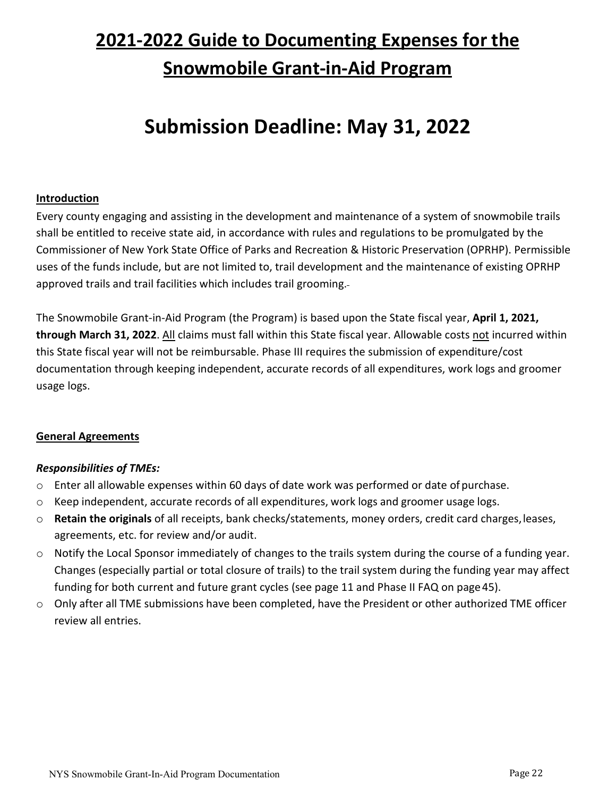# **2021‐2022 Guide to Documenting Expenses for the Snowmobile Grant‐in‐Aid Program**

# **Submission Deadline: May 31, 2022**

#### <span id="page-21-0"></span>**Introduction**

Every county engaging and assisting in the development and maintenance of a system of snowmobile trails shall be entitled to receive state aid, in accordance with rules and regulations to be promulgated by the Commissioner of New York State Office of Parks and Recreation & Historic Preservation (OPRHP). Permissible uses of the funds include, but are not limited to, trail development and the maintenance of existing OPRHP approved trails and trail facilities which includes trail grooming.

The Snowmobile Grant‐in‐Aid Program (the Program) is based upon the State fiscal year, **April 1, 2021, through March 31, 2022**. All claims must fall within this State fiscal year. Allowable costs not incurred within this State fiscal year will not be reimbursable. Phase III requires the submission of expenditure/cost documentation through keeping independent, accurate records of all expenditures, work logs and groomer usage logs.

#### <span id="page-21-1"></span>**General Agreements**

#### *Responsibilities of TMEs:*

- $\circ$  Enter all allowable expenses within 60 days of date work was performed or date of purchase.
- $\circ$  Keep independent, accurate records of all expenditures, work logs and groomer usage logs.
- o **Retain the originals** of all receipts, bank checks/statements, money orders, credit card charges,leases, agreements, etc. for review and/or audit.
- o Notify the Local Sponsor immediately of changes to the trails system during the course of a funding year. Changes (especially partial or total closure of trails) to the trail system during the funding year may affect funding for both current and future grant cycles (see page 11 and Phase II FAQ on page 45).
- o Only after all TME submissions have been completed, have the President or other authorized TME officer review all entries.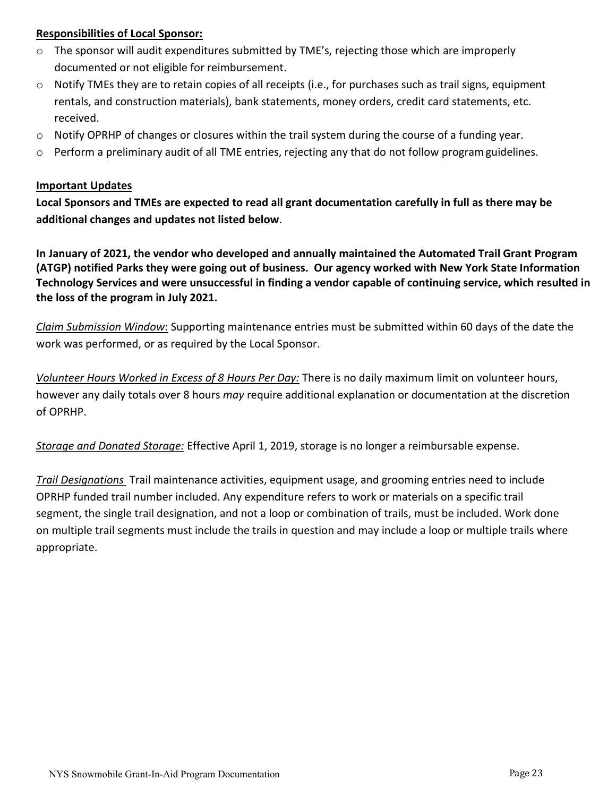#### <span id="page-22-0"></span>**Responsibilities of Local Sponsor:**

- $\circ$  The sponsor will audit expenditures submitted by TME's, rejecting those which are improperly documented or not eligible for reimbursement.
- $\circ$  Notify TMEs they are to retain copies of all receipts (i.e., for purchases such as trail signs, equipment rentals, and construction materials), bank statements, money orders, credit card statements, etc. received.
- $\circ$  Notify OPRHP of changes or closures within the trail system during the course of a funding year.
- $\circ$  Perform a preliminary audit of all TME entries, rejecting any that do not follow program guidelines.

#### <span id="page-22-1"></span>**Important Updates**

**Local Sponsors and TMEs are expected to read all grant documentation carefully in full as there may be additional changes and updates not listed below**.

**In January of 2021, the vendor who developed and annually maintained the Automated Trail Grant Program (ATGP) notified Parks they were going out of business. Our agency worked with New York State Information Technology Services and were unsuccessful in finding a vendor capable of continuing service, which resulted in the loss of the program in July 2021.**

*Claim Submission Window*: Supporting maintenance entries must be submitted within 60 days of the date the work was performed, or as required by the Local Sponsor.

*Volunteer Hours Worked in Excess of 8 Hours Per Day:* There is no daily maximum limit on volunteer hours, however any daily totals over 8 hours *may* require additional explanation or documentation at the discretion of OPRHP.

*Storage and Donated Storage:* Effective April 1, 2019, storage is no longer a reimbursable expense.

*Trail Designations* Trail maintenance activities, equipment usage, and grooming entries need to include OPRHP funded trail number included. Any expenditure refers to work or materials on a specific trail segment, the single trail designation, and not a loop or combination of trails, must be included. Work done on multiple trail segments must include the trails in question and may include a loop or multiple trails where appropriate.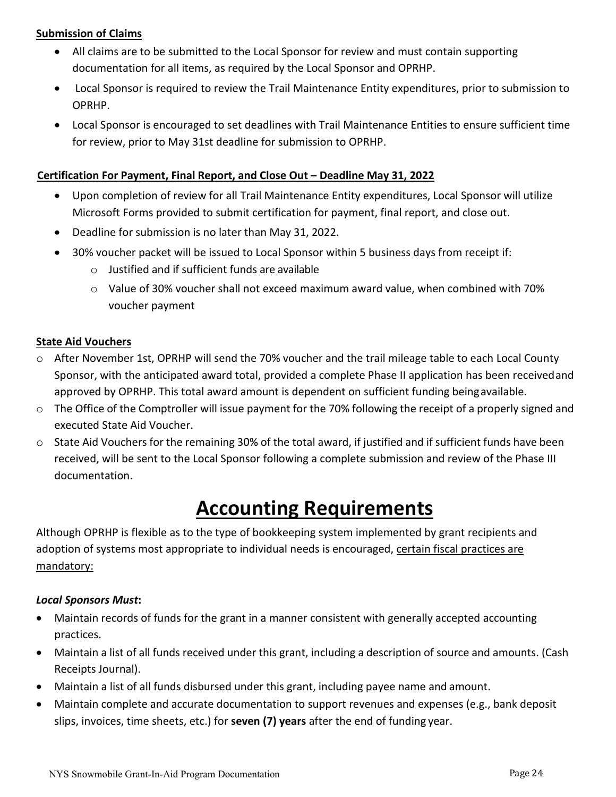#### <span id="page-23-0"></span>**Submission of Claims**

- All claims are to be submitted to the Local Sponsor for review and must contain supporting documentation for all items, as required by the Local Sponsor and OPRHP.
- Local Sponsor is required to review the Trail Maintenance Entity expenditures, prior to submission to OPRHP.
- Local Sponsor is encouraged to set deadlines with Trail Maintenance Entities to ensure sufficient time for review, prior to May 31st deadline for submission to OPRHP.

#### **Certification For Payment, Final Report, and Close Out – Deadline May 31, 2022**

- Upon completion of review for all Trail Maintenance Entity expenditures, Local Sponsor will utilize Microsoft Forms provided to submit certification for payment, final report, and close out.
- Deadline for submission is no later than May 31, 2022.
- 30% voucher packet will be issued to Local Sponsor within 5 business days from receipt if:
	- o Justified and if sufficient funds are available
	- o Value of 30% voucher shall not exceed maximum award value, when combined with 70% voucher payment

#### <span id="page-23-1"></span>**State Aid Vouchers**

- o After November 1st, OPRHP will send the 70% voucher and the trail mileage table to each Local County Sponsor, with the anticipated award total, provided a complete Phase II application has been receivedand approved by OPRHP. This total award amount is dependent on sufficient funding beingavailable.
- o The Office of the Comptroller will issue payment for the 70% following the receipt of a properly signed and executed State Aid Voucher.
- o State Aid Vouchers for the remaining 30% of the total award, if justified and if sufficient funds have been received, will be sent to the Local Sponsor following a complete submission and review of the Phase III documentation.

# **Accounting Requirements**

<span id="page-23-2"></span>Although OPRHP is flexible as to the type of bookkeeping system implemented by grant recipients and adoption of systems most appropriate to individual needs is encouraged, certain fiscal practices are mandatory:

#### *Local Sponsors Must***:**

- Maintain records of funds for the grant in a manner consistent with generally accepted accounting practices.
- Maintain a list of all funds received under this grant, including a description of source and amounts. (Cash Receipts Journal).
- Maintain a list of all funds disbursed under this grant, including payee name and amount.
- Maintain complete and accurate documentation to support revenues and expenses (e.g., bank deposit slips, invoices, time sheets, etc.) for **seven (7) years** after the end of funding year.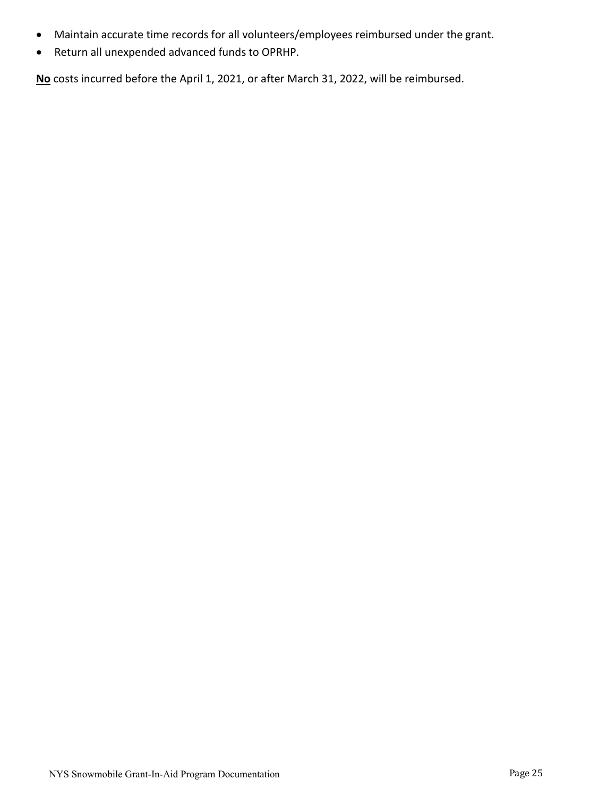- Maintain accurate time records for all volunteers/employees reimbursed under the grant.
- Return all unexpended advanced funds to OPRHP.

**No** costs incurred before the April 1, 2021, or after March 31, 2022, will be reimbursed.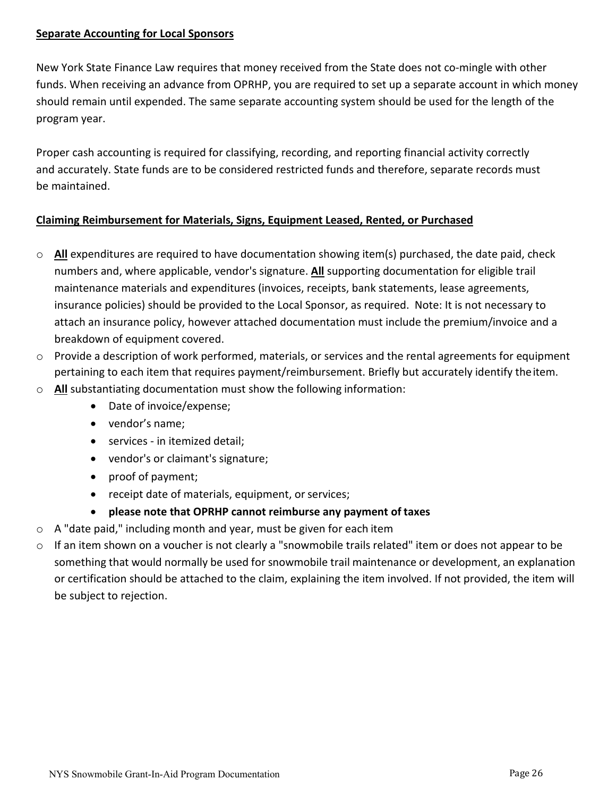#### <span id="page-25-0"></span>**Separate Accounting for Local Sponsors**

New York State Finance Law requires that money received from the State does not co‐mingle with other funds. When receiving an advance from OPRHP, you are required to set up a separate account in which money should remain until expended. The same separate accounting system should be used for the length of the program year.

Proper cash accounting is required for classifying, recording, and reporting financial activity correctly and accurately. State funds are to be considered restricted funds and therefore, separate records must be maintained.

### <span id="page-25-1"></span>**Claiming Reimbursement for Materials, Signs, Equipment Leased, Rented, or Purchased**

- o **All** expenditures are required to have documentation showing item(s) purchased, the date paid, check numbers and, where applicable, vendor's signature. **All** supporting documentation for eligible trail maintenance materials and expenditures (invoices, receipts, bank statements, lease agreements, insurance policies) should be provided to the Local Sponsor, as required. Note: It is not necessary to attach an insurance policy, however attached documentation must include the premium/invoice and a breakdown of equipment covered.
- $\circ$  Provide a description of work performed, materials, or services and the rental agreements for equipment pertaining to each item that requires payment/reimbursement. Briefly but accurately identify theitem.
- o **All** substantiating documentation must show the following information:
	- Date of invoice/expense;
	- vendor's name;
	- services in itemized detail;
	- vendor's or claimant's signature;
	- proof of payment;
	- receipt date of materials, equipment, or services;
	- **please note that OPRHP cannot reimburse any payment of taxes**
- $\circ$  A "date paid," including month and year, must be given for each item
- o If an item shown on a voucher is not clearly a "snowmobile trails related" item or does not appear to be something that would normally be used for snowmobile trail maintenance or development, an explanation or certification should be attached to the claim, explaining the item involved. If not provided, the item will be subject to rejection.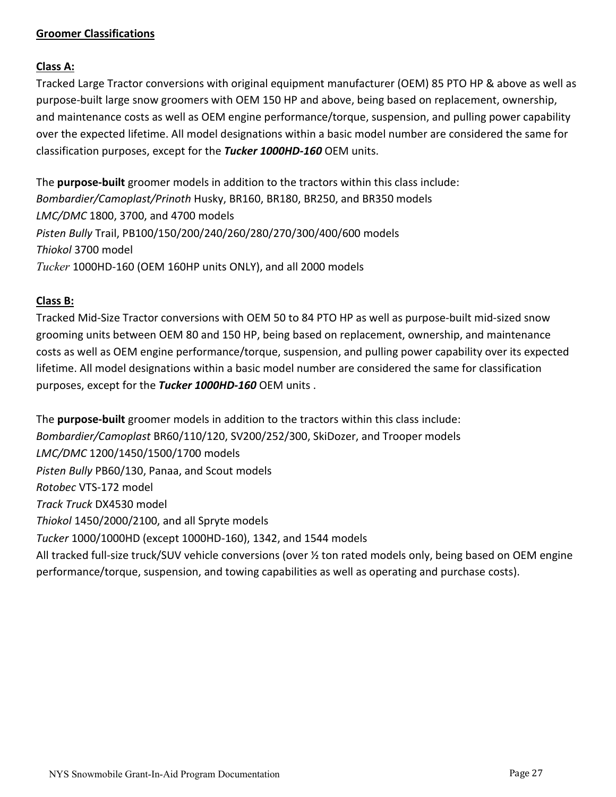#### <span id="page-26-0"></span>**Groomer Classifications**

## **Class A:**

Tracked Large Tractor conversions with original equipment manufacturer (OEM) 85 PTO HP & above as well as purpose‐built large snow groomers with OEM 150 HP and above, being based on replacement, ownership, and maintenance costs as well as OEM engine performance/torque, suspension, and pulling power capability over the expected lifetime. All model designations within a basic model number are considered the same for classification purposes, except for the *Tucker 1000HD‐160* OEM units.

The **purpose‐built** groomer models in addition to the tractors within this class include: *Bombardier/Camoplast/Prinoth* Husky, BR160, BR180, BR250, and BR350 models *LMC/DMC* 1800, 3700, and 4700 models *Pisten Bully* Trail, PB100/150/200/240/260/280/270/300/400/600 models *Thiokol* 3700 model *Tucker* 1000HD‐160 (OEM 160HP units ONLY), and all 2000 models

## **Class B:**

Tracked Mid‐Size Tractor conversions with OEM 50 to 84 PTO HP as well as purpose‐built mid‐sized snow grooming units between OEM 80 and 150 HP, being based on replacement, ownership, and maintenance costs as well as OEM engine performance/torque, suspension, and pulling power capability over its expected lifetime. All model designations within a basic model number are considered the same for classification purposes, except for the *Tucker 1000HD‐160* OEM units .

The **purpose‐built** groomer models in addition to the tractors within this class include: *Bombardier/Camoplast* BR60/110/120, SV200/252/300, SkiDozer, and Trooper models *LMC/DMC* 1200/1450/1500/1700 models *Pisten Bully* PB60/130, Panaa, and Scout models *Rotobec* VTS‐172 model *Track Truck* DX4530 model *Thiokol* 1450/2000/2100, and all Spryte models *Tucker* 1000/1000HD (except 1000HD‐160), 1342, and 1544 models All tracked full‐size truck/SUV vehicle conversions (over ½ ton rated models only, being based on OEM engine performance/torque, suspension, and towing capabilities as well as operating and purchase costs).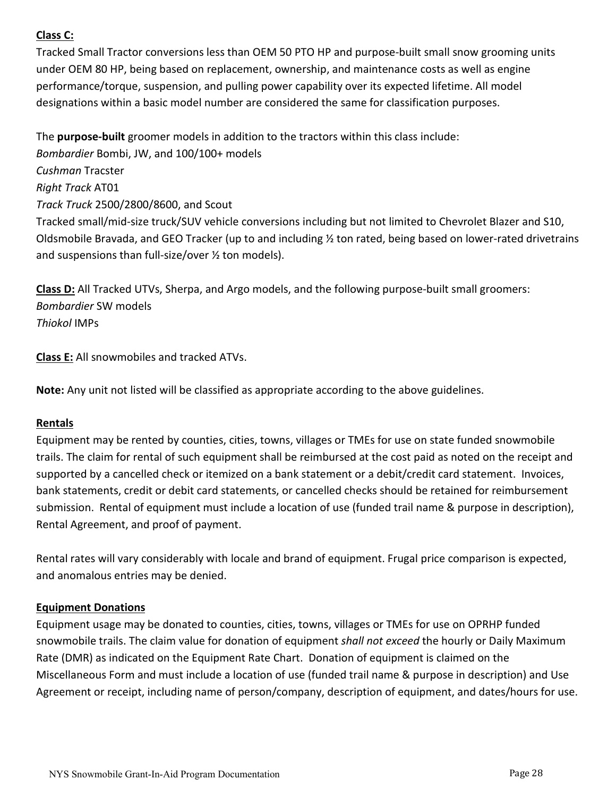## **Class C:**

Tracked Small Tractor conversions less than OEM 50 PTO HP and purpose‐built small snow grooming units under OEM 80 HP, being based on replacement, ownership, and maintenance costs as well as engine performance/torque, suspension, and pulling power capability over its expected lifetime. All model designations within a basic model number are considered the same for classification purposes.

The **purpose‐built** groomer models in addition to the tractors within this class include: *Bombardier* Bombi, JW, and 100/100+ models *Cushman* Tracster *Right Track* AT01 *Track Truck* 2500/2800/8600, and Scout Tracked small/mid‐size truck/SUV vehicle conversions including but not limited to Chevrolet Blazer and S10, Oldsmobile Bravada, and GEO Tracker (up to and including ½ ton rated, being based on lower‐rated drivetrains and suspensions than full‐size/over ½ ton models).

**Class D:** All Tracked UTVs, Sherpa, and Argo models, and the following purpose‐built small groomers: *Bombardier* SW models *Thiokol* IMPs

**Class E:** All snowmobiles and tracked ATVs.

**Note:** Any unit not listed will be classified as appropriate according to the above guidelines.

#### <span id="page-27-0"></span>**Rentals**

Equipment may be rented by counties, cities, towns, villages or TMEs for use on state funded snowmobile trails. The claim for rental of such equipment shall be reimbursed at the cost paid as noted on the receipt and supported by a cancelled check or itemized on a bank statement or a debit/credit card statement. Invoices, bank statements, credit or debit card statements, or cancelled checks should be retained for reimbursement submission. Rental of equipment must include a location of use (funded trail name & purpose in description), Rental Agreement, and proof of payment.

Rental rates will vary considerably with locale and brand of equipment. Frugal price comparison is expected, and anomalous entries may be denied.

#### <span id="page-27-1"></span>**Equipment Donations**

Equipment usage may be donated to counties, cities, towns, villages or TMEs for use on OPRHP funded snowmobile trails. The claim value for donation of equipment *shall not exceed* the hourly or Daily Maximum Rate (DMR) as indicated on the Equipment Rate Chart. Donation of equipment is claimed on the Miscellaneous Form and must include a location of use (funded trail name & purpose in description) and Use Agreement or receipt, including name of person/company, description of equipment, and dates/hours for use.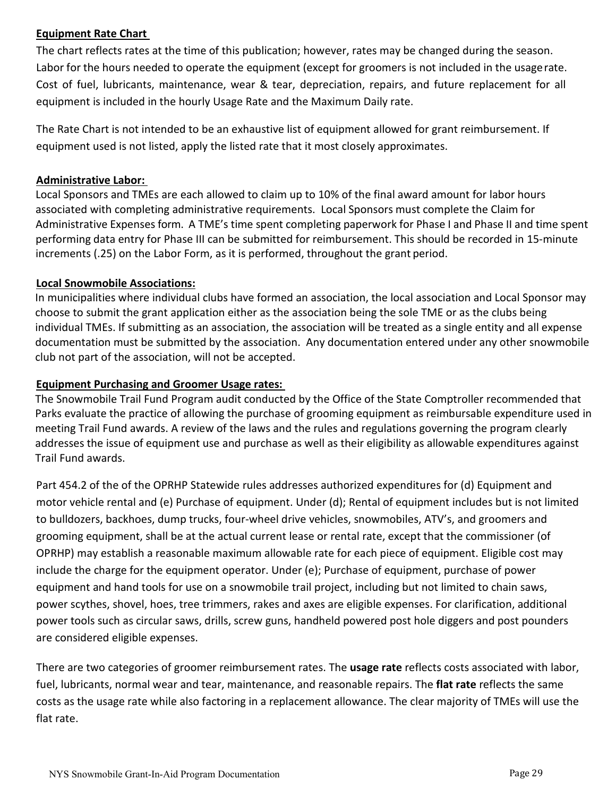#### <span id="page-28-0"></span>**Equipment Rate Chart**

The chart reflects rates at the time of this publication; however, rates may be changed during the season. Labor for the hours needed to operate the equipment (except for groomers is not included in the usagerate. Cost of fuel, lubricants, maintenance, wear & tear, depreciation, repairs, and future replacement for all equipment is included in the hourly Usage Rate and the Maximum Daily rate.

The Rate Chart is not intended to be an exhaustive list of equipment allowed for grant reimbursement. If equipment used is not listed, apply the listed rate that it most closely approximates.

### <span id="page-28-1"></span>**Administrative Labor:**

Local Sponsors and TMEs are each allowed to claim up to 10% of the final award amount for labor hours associated with completing administrative requirements. Local Sponsors must complete the Claim for Administrative Expenses form. A TME's time spent completing paperwork for Phase I and Phase II and time spent performing data entry for Phase III can be submitted for reimbursement. This should be recorded in 15‐minute increments (.25) on the Labor Form, as it is performed, throughout the grant period.

### <span id="page-28-2"></span>**Local Snowmobile Associations:**

In municipalities where individual clubs have formed an association, the local association and Local Sponsor may choose to submit the grant application either as the association being the sole TME or as the clubs being individual TMEs. If submitting as an association, the association will be treated as a single entity and all expense documentation must be submitted by the association. Any documentation entered under any other snowmobile club not part of the association, will not be accepted.

## <span id="page-28-3"></span>**Equipment Purchasing and Groomer Usage rates:**

The Snowmobile Trail Fund Program audit conducted by the Office of the State Comptroller recommended that Parks evaluate the practice of allowing the purchase of grooming equipment as reimbursable expenditure used in meeting Trail Fund awards. A review of the laws and the rules and regulations governing the program clearly addresses the issue of equipment use and purchase as well as their eligibility as allowable expenditures against Trail Fund awards.

Part 454.2 of the of the OPRHP Statewide rules addresses authorized expenditures for (d) Equipment and motor vehicle rental and (e) Purchase of equipment. Under (d); Rental of equipment includes but is not limited to bulldozers, backhoes, dump trucks, four-wheel drive vehicles, snowmobiles, ATV's, and groomers and grooming equipment, shall be at the actual current lease or rental rate, except that the commissioner (of OPRHP) may establish a reasonable maximum allowable rate for each piece of equipment. Eligible cost may include the charge for the equipment operator. Under (e); Purchase of equipment, purchase of power equipment and hand tools for use on a snowmobile trail project, including but not limited to chain saws, power scythes, shovel, hoes, tree trimmers, rakes and axes are eligible expenses. For clarification, additional power tools such as circular saws, drills, screw guns, handheld powered post hole diggers and post pounders are considered eligible expenses.

There are two categories of groomer reimbursement rates. The **usage rate** reflects costs associated with labor, fuel, lubricants, normal wear and tear, maintenance, and reasonable repairs. The **flat rate** reflects the same costs as the usage rate while also factoring in a replacement allowance. The clear majority of TMEs will use the flat rate.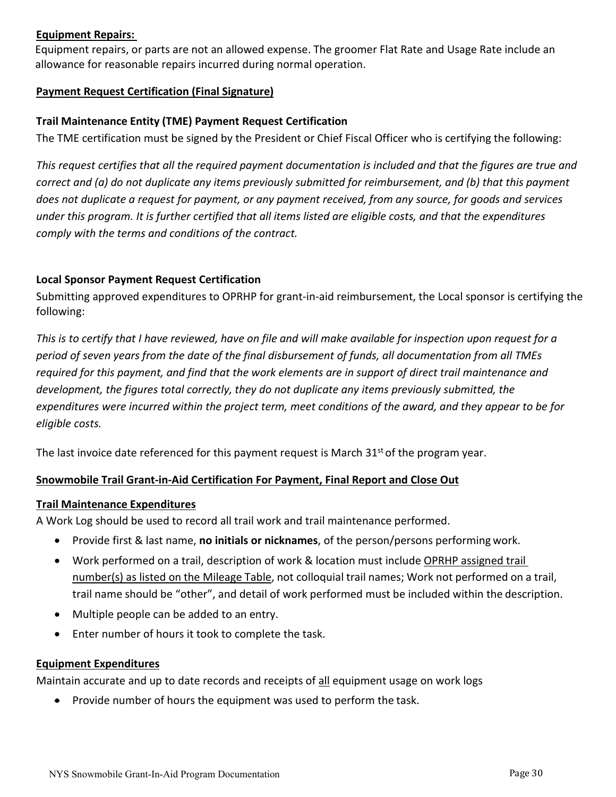#### <span id="page-29-0"></span>**Equipment Repairs:**

Equipment repairs, or parts are not an allowed expense. The groomer Flat Rate and Usage Rate include an allowance for reasonable repairs incurred during normal operation.

#### <span id="page-29-1"></span>**Payment Request Certification (Final Signature)**

#### **Trail Maintenance Entity (TME) Payment Request Certification**

The TME certification must be signed by the President or Chief Fiscal Officer who is certifying the following:

*This request certifies that all the required payment documentation is included and that the figures are true and correct and (a) do not duplicate any items previously submitted for reimbursement, and (b) that this payment does not duplicate a request for payment, or any payment received, from any source, for goods and services under this program. It is further certified that all items listed are eligible costs, and that the expenditures comply with the terms and conditions of the contract.*

#### **Local Sponsor Payment Request Certification**

Submitting approved expenditures to OPRHP for grant-in-aid reimbursement, the Local sponsor is certifying the following:

*This is to certify that I have reviewed, have on file and will make available for inspection upon request for a period of seven years from the date of the final disbursement of funds, all documentation from all TMEs required for this payment, and find that the work elements are in support of direct trail maintenance and development, the figures total correctly, they do not duplicate any items previously submitted, the expenditures were incurred within the project term, meet conditions of the award, and they appear to be for eligible costs.*

The last invoice date referenced for this payment request is March  $31<sup>st</sup>$  of the program year.

#### <span id="page-29-2"></span>**Snowmobile Trail Grant-in-Aid Certification For Payment, Final Report and Close Out**

#### **Trail Maintenance Expenditures**

A Work Log should be used to record all trail work and trail maintenance performed.

- Provide first & last name, **no initials or nicknames**, of the person/persons performing work.
- Work performed on a trail, description of work & location must include OPRHP assigned trail number(s) as listed on the Mileage Table, not colloquial trail names; Work not performed on a trail, trail name should be "other", and detail of work performed must be included within the description.
- Multiple people can be added to an entry.
- Enter number of hours it took to complete the task.

#### <span id="page-29-3"></span>**Equipment Expenditures**

Maintain accurate and up to date records and receipts of all equipment usage on work logs

• Provide number of hours the equipment was used to perform the task.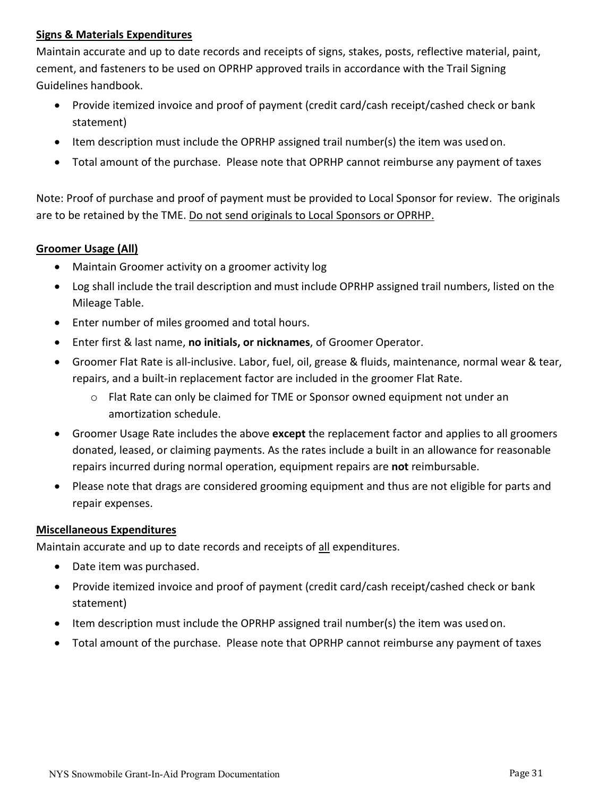#### <span id="page-30-0"></span>**Signs & Materials Expenditures**

Maintain accurate and up to date records and receipts of signs, stakes, posts, reflective material, paint, cement, and fasteners to be used on OPRHP approved trails in accordance with the Trail Signing Guidelines handbook.

- Provide itemized invoice and proof of payment (credit card/cash receipt/cashed check or bank statement)
- Item description must include the OPRHP assigned trail number(s) the item was usedon.
- Total amount of the purchase. Please note that OPRHP cannot reimburse any payment of taxes

Note: Proof of purchase and proof of payment must be provided to Local Sponsor for review. The originals are to be retained by the TME. Do not send originals to Local Sponsors or OPRHP.

#### <span id="page-30-1"></span>**Groomer Usage (All)**

- Maintain Groomer activity on a groomer activity log
- Log shall include the trail description and must include OPRHP assigned trail numbers, listed on the Mileage Table.
- Enter number of miles groomed and total hours.
- Enter first & last name, **no initials, or nicknames**, of Groomer Operator.
- Groomer Flat Rate is all‐inclusive. Labor, fuel, oil, grease & fluids, maintenance, normal wear & tear, repairs, and a built‐in replacement factor are included in the groomer Flat Rate.
	- o Flat Rate can only be claimed for TME or Sponsor owned equipment not under an amortization schedule.
- Groomer Usage Rate includes the above **except** the replacement factor and applies to all groomers donated, leased, or claiming payments. As the rates include a built in an allowance for reasonable repairs incurred during normal operation, equipment repairs are **not** reimbursable.
- Please note that drags are considered grooming equipment and thus are not eligible for parts and repair expenses.

#### <span id="page-30-2"></span>**Miscellaneous Expenditures**

Maintain accurate and up to date records and receipts of all expenditures.

- Date item was purchased.
- Provide itemized invoice and proof of payment (credit card/cash receipt/cashed check or bank statement)
- Item description must include the OPRHP assigned trail number(s) the item was usedon.
- Total amount of the purchase. Please note that OPRHP cannot reimburse any payment of taxes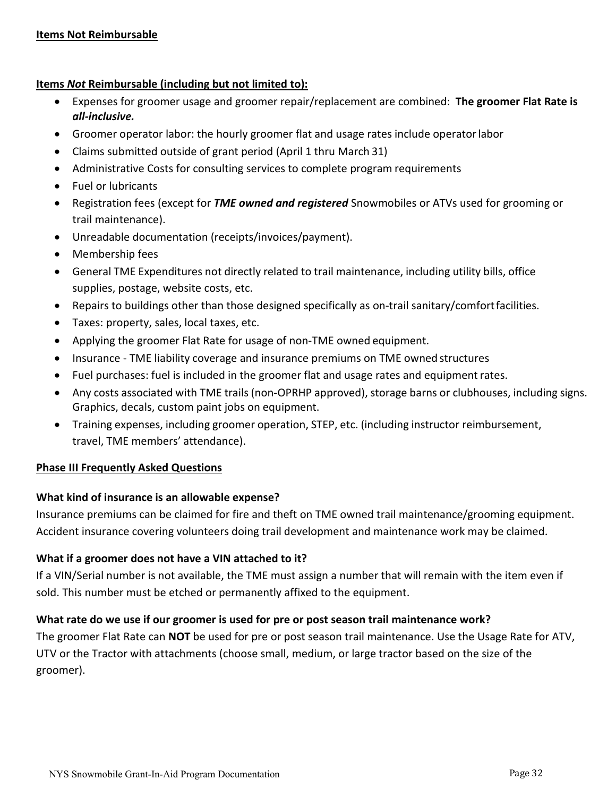#### <span id="page-31-0"></span>**Items** *Not* **Reimbursable (including but not limited to):**

- Expenses for groomer usage and groomer repair/replacement are combined: **The groomer Flat Rate is**  *all-inclusive.*
- Groomer operator labor: the hourly groomer flat and usage rates include operatorlabor
- Claims submitted outside of grant period (April 1 thru March 31)
- Administrative Costs for consulting services to complete program requirements
- Fuel or lubricants
- Registration fees (except for *TME owned and registered* Snowmobiles or ATVs used for grooming or trail maintenance).
- Unreadable documentation (receipts/invoices/payment).
- Membership fees
- General TME Expenditures not directly related to trail maintenance, including utility bills, office supplies, postage, website costs, etc.
- Repairs to buildings other than those designed specifically as on‐trail sanitary/comfortfacilities.
- Taxes: property, sales, local taxes, etc.
- Applying the groomer Flat Rate for usage of non‐TME owned equipment.
- Insurance ‐ TME liability coverage and insurance premiums on TME owned structures
- Fuel purchases: fuel is included in the groomer flat and usage rates and equipment rates.
- Any costs associated with TME trails (non‐OPRHP approved), storage barns or clubhouses, including signs. Graphics, decals, custom paint jobs on equipment.
- Training expenses, including groomer operation, STEP, etc. (including instructor reimbursement, travel, TME members' attendance).

#### <span id="page-31-1"></span>**Phase III Frequently Asked Questions**

#### **What kind of insurance is an allowable expense?**

Insurance premiums can be claimed for fire and theft on TME owned trail maintenance/grooming equipment. Accident insurance covering volunteers doing trail development and maintenance work may be claimed.

#### **What if a groomer does not have a VIN attached to it?**

If a VIN/Serial number is not available, the TME must assign a number that will remain with the item even if sold. This number must be etched or permanently affixed to the equipment.

#### **What rate do we use if our groomer is used for pre or post season trail maintenance work?**

The groomer Flat Rate can **NOT** be used for pre or post season trail maintenance. Use the Usage Rate for ATV, UTV or the Tractor with attachments (choose small, medium, or large tractor based on the size of the groomer).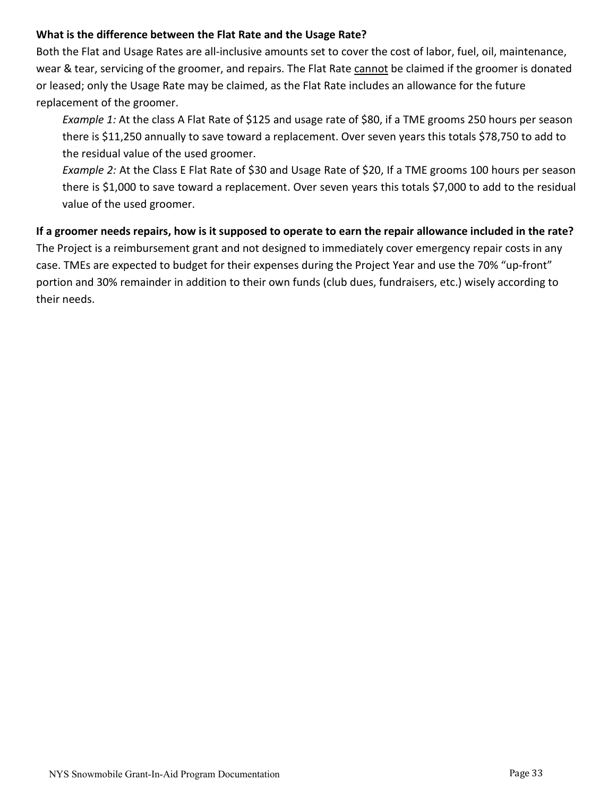#### **What is the difference between the Flat Rate and the Usage Rate?**

Both the Flat and Usage Rates are all‐inclusive amounts set to cover the cost of labor, fuel, oil, maintenance, wear & tear, servicing of the groomer, and repairs. The Flat Rate cannot be claimed if the groomer is donated or leased; only the Usage Rate may be claimed, as the Flat Rate includes an allowance for the future replacement of the groomer.

*Example 1:* At the class A Flat Rate of \$125 and usage rate of \$80, if a TME grooms 250 hours per season there is \$11,250 annually to save toward a replacement. Over seven years this totals \$78,750 to add to the residual value of the used groomer.

*Example 2:* At the Class E Flat Rate of \$30 and Usage Rate of \$20, If a TME grooms 100 hours per season there is \$1,000 to save toward a replacement. Over seven years this totals \$7,000 to add to the residual value of the used groomer.

#### **If a groomer needs repairs, how is it supposed to operate to earn the repair allowance included in the rate?**

The Project is a reimbursement grant and not designed to immediately cover emergency repair costs in any case. TMEs are expected to budget for their expenses during the Project Year and use the 70% "up‐front" portion and 30% remainder in addition to their own funds (club dues, fundraisers, etc.) wisely according to their needs.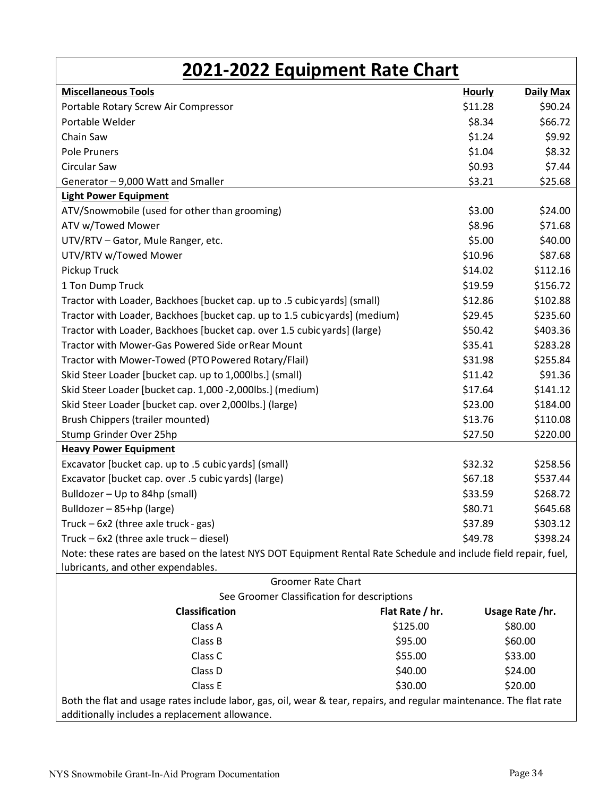<span id="page-33-0"></span>

| 2021-2022 Equipment Rate Chart                                                                                      |                 |                   |  |  |  |
|---------------------------------------------------------------------------------------------------------------------|-----------------|-------------------|--|--|--|
| <b>Miscellaneous Tools</b>                                                                                          | <b>Hourly</b>   | Daily Max         |  |  |  |
| Portable Rotary Screw Air Compressor                                                                                | \$11.28         | \$90.24           |  |  |  |
| Portable Welder                                                                                                     |                 | \$8.34<br>\$66.72 |  |  |  |
| Chain Saw                                                                                                           |                 | \$1.24<br>\$9.92  |  |  |  |
| <b>Pole Pruners</b>                                                                                                 |                 | \$1.04<br>\$8.32  |  |  |  |
| <b>Circular Saw</b>                                                                                                 |                 | \$0.93<br>\$7.44  |  |  |  |
| Generator - 9,000 Watt and Smaller                                                                                  |                 | \$3.21<br>\$25.68 |  |  |  |
| <b>Light Power Equipment</b>                                                                                        |                 |                   |  |  |  |
| ATV/Snowmobile (used for other than grooming)                                                                       |                 | \$3.00<br>\$24.00 |  |  |  |
| ATV w/Towed Mower                                                                                                   |                 | \$8.96<br>\$71.68 |  |  |  |
| UTV/RTV - Gator, Mule Ranger, etc.                                                                                  |                 | \$40.00<br>\$5.00 |  |  |  |
| UTV/RTV w/Towed Mower                                                                                               | \$10.96         | \$87.68           |  |  |  |
| Pickup Truck                                                                                                        | \$14.02         | \$112.16          |  |  |  |
| 1 Ton Dump Truck                                                                                                    | \$19.59         | \$156.72          |  |  |  |
| Tractor with Loader, Backhoes [bucket cap. up to .5 cubic yards] (small)                                            | \$12.86         | \$102.88          |  |  |  |
| Tractor with Loader, Backhoes [bucket cap. up to 1.5 cubicyards] (medium)                                           | \$29.45         | \$235.60          |  |  |  |
| Tractor with Loader, Backhoes [bucket cap. over 1.5 cubic yards] (large)                                            | \$50.42         | \$403.36          |  |  |  |
| Tractor with Mower-Gas Powered Side or Rear Mount                                                                   | \$35.41         | \$283.28          |  |  |  |
| Tractor with Mower-Towed (PTO Powered Rotary/Flail)                                                                 | \$31.98         | \$255.84          |  |  |  |
| Skid Steer Loader [bucket cap. up to 1,000lbs.] (small)                                                             | \$11.42         | \$91.36           |  |  |  |
| Skid Steer Loader [bucket cap. 1,000 -2,000lbs.] (medium)                                                           | \$17.64         | \$141.12          |  |  |  |
| Skid Steer Loader [bucket cap. over 2,000lbs.] (large)                                                              | \$23.00         | \$184.00          |  |  |  |
| Brush Chippers (trailer mounted)                                                                                    | \$13.76         | \$110.08          |  |  |  |
| Stump Grinder Over 25hp                                                                                             | \$27.50         | \$220.00          |  |  |  |
| <b>Heavy Power Equipment</b>                                                                                        |                 |                   |  |  |  |
| Excavator [bucket cap. up to .5 cubic yards] (small)                                                                | \$32.32         | \$258.56          |  |  |  |
| Excavator [bucket cap. over .5 cubic yards] (large)                                                                 | \$67.18         | \$537.44          |  |  |  |
| Bulldozer - Up to 84hp (small)                                                                                      | \$33.59         | \$268.72          |  |  |  |
| Bulldozer - 85+hp (large)                                                                                           | \$80.71         | \$645.68          |  |  |  |
| Truck - 6x2 (three axle truck - gas)                                                                                | \$37.89         | \$303.12          |  |  |  |
| Truck - 6x2 (three axle truck - diesel)                                                                             | \$49.78         | \$398.24          |  |  |  |
| Note: these rates are based on the latest NYS DOT Equipment Rental Rate Schedule and include field repair, fuel,    |                 |                   |  |  |  |
| lubricants, and other expendables.                                                                                  |                 |                   |  |  |  |
| <b>Groomer Rate Chart</b>                                                                                           |                 |                   |  |  |  |
| See Groomer Classification for descriptions                                                                         |                 |                   |  |  |  |
| <b>Classification</b>                                                                                               | Flat Rate / hr. | Usage Rate /hr.   |  |  |  |
| Class A                                                                                                             | \$125.00        | \$80.00           |  |  |  |
| Class B                                                                                                             | \$95.00         | \$60.00           |  |  |  |
| Class C                                                                                                             | \$55.00         | \$33.00           |  |  |  |
| Class D                                                                                                             | \$40.00         | \$24.00           |  |  |  |
| Class E<br>\$30.00                                                                                                  |                 | \$20.00           |  |  |  |
| Both the flat and usage rates include labor, gas, oil, wear & tear, repairs, and regular maintenance. The flat rate |                 |                   |  |  |  |
| additionally includes a replacement allowance.                                                                      |                 |                   |  |  |  |